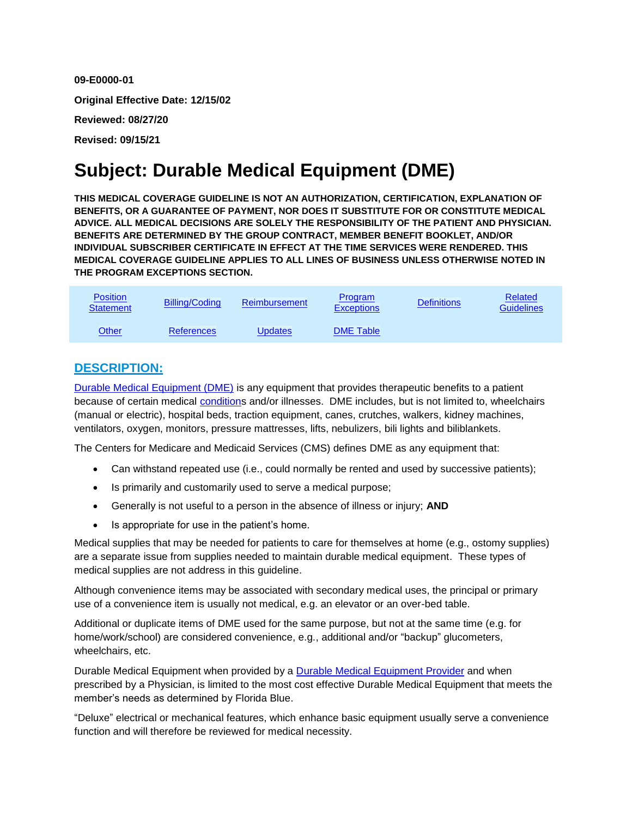**09-E0000-01 Original Effective Date: 12/15/02 Reviewed: 08/27/20 Revised: 09/15/21**

# **Subject: Durable Medical Equipment (DME)**

**THIS MEDICAL COVERAGE GUIDELINE IS NOT AN AUTHORIZATION, CERTIFICATION, EXPLANATION OF BENEFITS, OR A GUARANTEE OF PAYMENT, NOR DOES IT SUBSTITUTE FOR OR CONSTITUTE MEDICAL ADVICE. ALL MEDICAL DECISIONS ARE SOLELY THE RESPONSIBILITY OF THE PATIENT AND PHYSICIAN. BENEFITS ARE DETERMINED BY THE GROUP CONTRACT, MEMBER BENEFIT BOOKLET, AND/OR INDIVIDUAL SUBSCRIBER CERTIFICATE IN EFFECT AT THE TIME SERVICES WERE RENDERED. THIS MEDICAL COVERAGE GUIDELINE APPLIES TO ALL LINES OF BUSINESS UNLESS OTHERWISE NOTED IN THE PROGRAM EXCEPTIONS SECTION.**

| <b>Position</b><br><b>Statement</b> | <b>Billing/Coding</b> | <b>Reimbursement</b> | <b>Program</b><br><b>Exceptions</b> | <b>Definitions</b> | <b>Related</b><br>Guidelines |
|-------------------------------------|-----------------------|----------------------|-------------------------------------|--------------------|------------------------------|
| Other                               | <b>References</b>     | <b>Updates</b>       | <b>DME Table</b>                    |                    |                              |

## **DESCRIPTION:**

[Durable Medical Equipment \(DME\)](#page-3-0) is any equipment that provides therapeutic benefits to a patient because of certain medical [conditions](#page-3-0) and/or illnesses. DME includes, but is not limited to, wheelchairs (manual or electric), hospital beds, traction equipment, canes, crutches, walkers, kidney machines, ventilators, oxygen, monitors, pressure mattresses, lifts, nebulizers, bili lights and biliblankets.

The Centers for Medicare and Medicaid Services (CMS) defines DME as any equipment that:

- Can withstand repeated use (i.e., could normally be rented and used by successive patients);
- Is primarily and customarily used to serve a medical purpose;
- Generally is not useful to a person in the absence of illness or injury; **AND**
- Is appropriate for use in the patient's home.

Medical supplies that may be needed for patients to care for themselves at home (e.g., ostomy supplies) are a separate issue from supplies needed to maintain durable medical equipment. These types of medical supplies are not address in this guideline.

Although convenience items may be associated with secondary medical uses, the principal or primary use of a convenience item is usually not medical, e.g. an elevator or an over-bed table.

Additional or duplicate items of DME used for the same purpose, but not at the same time (e.g. for home/work/school) are considered convenience, e.g., additional and/or "backup" glucometers, wheelchairs, etc.

Durable Medical Equipment when provided by a [Durable Medical Equipment Provider](#page-3-0) and when prescribed by a Physician, is limited to the most cost effective Durable Medical Equipment that meets the member's needs as determined by Florida Blue.

"Deluxe" electrical or mechanical features, which enhance basic equipment usually serve a convenience function and will therefore be reviewed for medical necessity.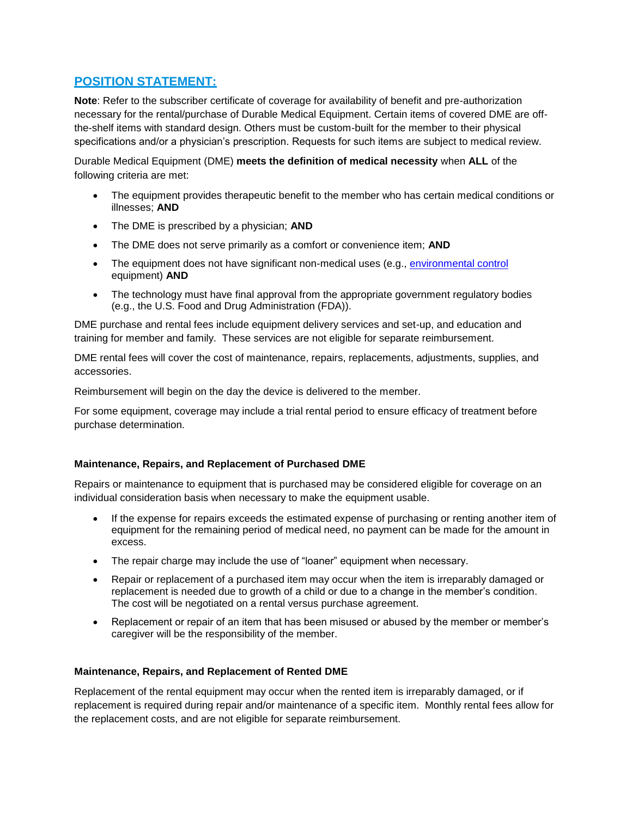## <span id="page-1-0"></span>**POSITION STATEMENT:**

**Note**: Refer to the subscriber certificate of coverage for availability of benefit and pre-authorization necessary for the rental/purchase of Durable Medical Equipment. Certain items of covered DME are offthe-shelf items with standard design. Others must be custom-built for the member to their physical specifications and/or a physician's prescription. Requests for such items are subject to medical review.

Durable Medical Equipment (DME) **meets the definition of medical necessity** when **ALL** of the following criteria are met:

- The equipment provides therapeutic benefit to the member who has certain medical conditions or illnesses; **AND**
- The DME is prescribed by a physician; **AND**
- The DME does not serve primarily as a comfort or convenience item; **AND**
- The equipment does not have significant non-medical uses (e.g., [environmental control](#page-3-0) equipment) **AND**
- The technology must have final approval from the appropriate government regulatory bodies (e.g., the U.S. Food and Drug Administration (FDA)).

DME purchase and rental fees include equipment delivery services and set-up, and education and training for member and family. These services are not eligible for separate reimbursement.

DME rental fees will cover the cost of maintenance, repairs, replacements, adjustments, supplies, and accessories.

Reimbursement will begin on the day the device is delivered to the member.

For some equipment, coverage may include a trial rental period to ensure efficacy of treatment before purchase determination.

#### **Maintenance, Repairs, and Replacement of Purchased DME**

Repairs or maintenance to equipment that is purchased may be considered eligible for coverage on an individual consideration basis when necessary to make the equipment usable.

- If the expense for repairs exceeds the estimated expense of purchasing or renting another item of equipment for the remaining period of medical need, no payment can be made for the amount in excess.
- The repair charge may include the use of "loaner" equipment when necessary.
- Repair or replacement of a purchased item may occur when the item is irreparably damaged or replacement is needed due to growth of a child or due to a change in the member's condition. The cost will be negotiated on a rental versus purchase agreement.
- Replacement or repair of an item that has been misused or abused by the member or member's caregiver will be the responsibility of the member.

#### **Maintenance, Repairs, and Replacement of Rented DME**

Replacement of the rental equipment may occur when the rented item is irreparably damaged, or if replacement is required during repair and/or maintenance of a specific item. Monthly rental fees allow for the replacement costs, and are not eligible for separate reimbursement.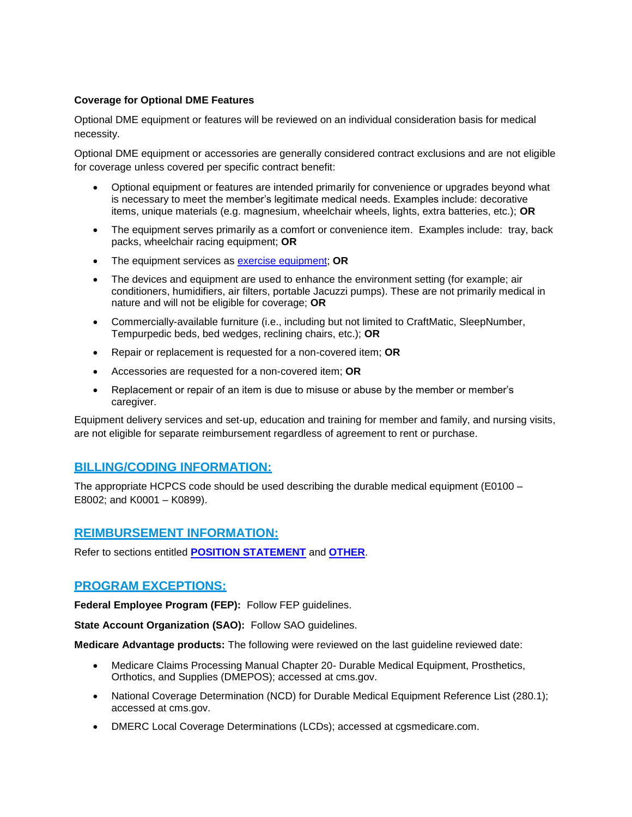#### **Coverage for Optional DME Features**

Optional DME equipment or features will be reviewed on an individual consideration basis for medical necessity.

Optional DME equipment or accessories are generally considered contract exclusions and are not eligible for coverage unless covered per specific contract benefit:

- Optional equipment or features are intended primarily for convenience or upgrades beyond what is necessary to meet the member's legitimate medical needs. Examples include: decorative items, unique materials (e.g. magnesium, wheelchair wheels, lights, extra batteries, etc.); **OR**
- The equipment serves primarily as a comfort or convenience item. Examples include: tray, back packs, wheelchair racing equipment; **OR**
- The equipment services as [exercise equipment;](#page-3-0) **OR**
- The devices and equipment are used to enhance the environment setting (for example; air conditioners, humidifiers, air filters, portable Jacuzzi pumps). These are not primarily medical in nature and will not be eligible for coverage; **OR**
- Commercially-available furniture (i.e., including but not limited to CraftMatic, SleepNumber, Tempurpedic beds, bed wedges, reclining chairs, etc.); **OR**
- Repair or replacement is requested for a non-covered item; **OR**
- Accessories are requested for a non-covered item; **OR**
- Replacement or repair of an item is due to misuse or abuse by the member or member's caregiver.

Equipment delivery services and set-up, education and training for member and family, and nursing visits, are not eligible for separate reimbursement regardless of agreement to rent or purchase.

#### <span id="page-2-0"></span>**BILLING/CODING INFORMATION:**

The appropriate HCPCS code should be used describing the durable medical equipment (E0100 – E8002; and K0001 – K0899).

#### <span id="page-2-1"></span>**REIMBURSEMENT INFORMATION:**

Refer to sections entitled **[POSITION STATEMENT](#page-1-0)** and **[OTHER](#page-3-2)**.

#### <span id="page-2-2"></span>**PROGRAM EXCEPTIONS:**

**Federal Employee Program (FEP):** Follow FEP guidelines.

**State Account Organization (SAO):** Follow SAO guidelines.

**Medicare Advantage products:** The following were reviewed on the last guideline reviewed date:

- Medicare Claims Processing Manual Chapter 20- Durable Medical Equipment, Prosthetics, Orthotics, and Supplies (DMEPOS); accessed at cms.gov.
- National Coverage Determination (NCD) for Durable Medical Equipment Reference List (280.1); accessed at cms.gov.
- DMERC Local Coverage Determinations (LCDs); accessed at cgsmedicare.com.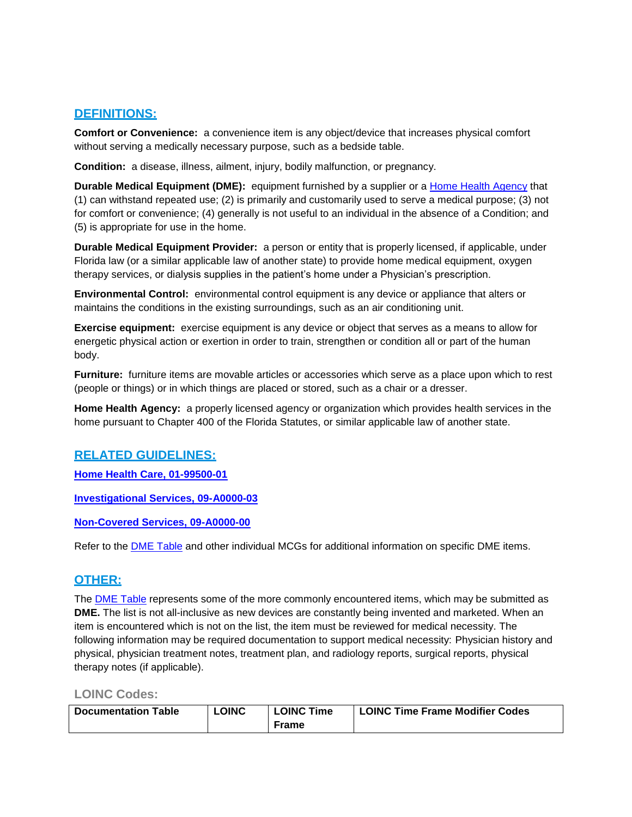## <span id="page-3-0"></span>**DEFINITIONS:**

**Comfort or Convenience:** a convenience item is any object/device that increases physical comfort without serving a medically necessary purpose, such as a bedside table.

**Condition:** a disease, illness, ailment, injury, bodily malfunction, or pregnancy.

**Durable Medical Equipment (DME):** equipment furnished by a supplier or a [Home Health Agency](#page-3-0) that (1) can withstand repeated use; (2) is primarily and customarily used to serve a medical purpose; (3) not for comfort or convenience; (4) generally is not useful to an individual in the absence of a Condition; and (5) is appropriate for use in the home.

**Durable Medical Equipment Provider:** a person or entity that is properly licensed, if applicable, under Florida law (or a similar applicable law of another state) to provide home medical equipment, oxygen therapy services, or dialysis supplies in the patient's home under a Physician's prescription.

**Environmental Control:** environmental control equipment is any device or appliance that alters or maintains the conditions in the existing surroundings, such as an air conditioning unit.

**Exercise equipment:** exercise equipment is any device or object that serves as a means to allow for energetic physical action or exertion in order to train, strengthen or condition all or part of the human body.

**Furniture:** furniture items are movable articles or accessories which serve as a place upon which to rest (people or things) or in which things are placed or stored, such as a chair or a dresser.

**Home Health Agency:** a properly licensed agency or organization which provides health services in the home pursuant to Chapter 400 of the Florida Statutes, or similar applicable law of another state.

## <span id="page-3-1"></span>**RELATED GUIDELINES:**

**[Home Health Care, 01-99500-01](http://mcgs.bcbsfl.com/MCG.aspx?mcgId=01-99500-01&pv=false)**

**[Investigational Services, 09-A0000-03](http://mcgs.bcbsfl.com/MCG.aspx?mcgId=09-A0000-03&pv=false)**

**[Non-Covered Services, 09-A0000-00](http://mcgs.bcbsfl.com/MCG.aspx?mcgId=09-A0000-00&pv=false)**

Refer to the [DME Table](#page-6-0) and other individual MCGs for additional information on specific DME items.

## <span id="page-3-2"></span>**OTHER:**

The [DME Table](#page-6-0) represents some of the more commonly encountered items, which may be submitted as **DME.** The list is not all-inclusive as new devices are constantly being invented and marketed. When an item is encountered which is not on the list, the item must be reviewed for medical necessity. The following information may be required documentation to support medical necessity: Physician history and physical, physician treatment notes, treatment plan, and radiology reports, surgical reports, physical therapy notes (if applicable).

#### **LOINC Codes:**

| <b>Documentation Table</b> | <b>LOINC</b> | <b>LOINC Time</b> | <b>LOINC Time Frame Modifier Codes</b> |
|----------------------------|--------------|-------------------|----------------------------------------|
|                            |              | Frame             |                                        |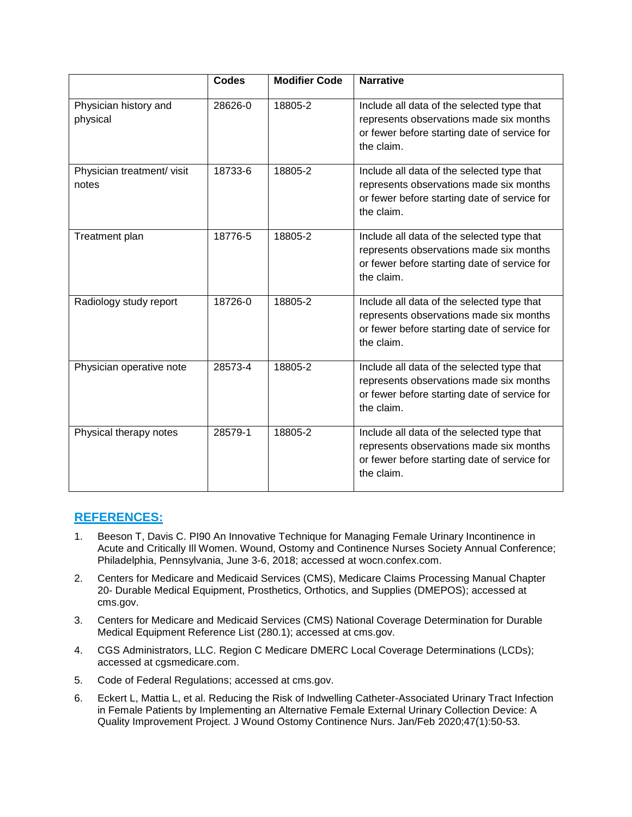|                                    | <b>Codes</b> | <b>Modifier Code</b> | <b>Narrative</b>                                                                                                                                    |
|------------------------------------|--------------|----------------------|-----------------------------------------------------------------------------------------------------------------------------------------------------|
| Physician history and<br>physical  | 28626-0      | 18805-2              | Include all data of the selected type that<br>represents observations made six months<br>or fewer before starting date of service for<br>the claim. |
| Physician treatment/visit<br>notes | 18733-6      | 18805-2              | Include all data of the selected type that<br>represents observations made six months<br>or fewer before starting date of service for<br>the claim. |
| Treatment plan                     | 18776-5      | 18805-2              | Include all data of the selected type that<br>represents observations made six months<br>or fewer before starting date of service for<br>the claim. |
| Radiology study report             | 18726-0      | 18805-2              | Include all data of the selected type that<br>represents observations made six months<br>or fewer before starting date of service for<br>the claim. |
| Physician operative note           | 28573-4      | 18805-2              | Include all data of the selected type that<br>represents observations made six months<br>or fewer before starting date of service for<br>the claim. |
| Physical therapy notes             | 28579-1      | 18805-2              | Include all data of the selected type that<br>represents observations made six months<br>or fewer before starting date of service for<br>the claim. |

## <span id="page-4-0"></span>**REFERENCES:**

- 1. Beeson T, Davis C. PI90 An Innovative Technique for Managing Female Urinary Incontinence in Acute and Critically Ill Women. Wound, Ostomy and Continence Nurses Society Annual Conference; Philadelphia, Pennsylvania, June 3-6, 2018; accessed at wocn.confex.com.
- 2. Centers for Medicare and Medicaid Services (CMS), Medicare Claims Processing Manual Chapter 20- Durable Medical Equipment, Prosthetics, Orthotics, and Supplies (DMEPOS); accessed at cms.gov.
- 3. Centers for Medicare and Medicaid Services (CMS) National Coverage Determination for Durable Medical Equipment Reference List (280.1); accessed at cms.gov.
- 4. CGS Administrators, LLC. Region C Medicare DMERC Local Coverage Determinations (LCDs); accessed at cgsmedicare.com.
- 5. Code of Federal Regulations; accessed at cms.gov.
- 6. Eckert L, Mattia L, et al. Reducing the Risk of Indwelling Catheter-Associated Urinary Tract Infection in Female Patients by Implementing an Alternative Female External Urinary Collection Device: A Quality Improvement Project. J Wound Ostomy Continence Nurs. Jan/Feb 2020;47(1):50-53.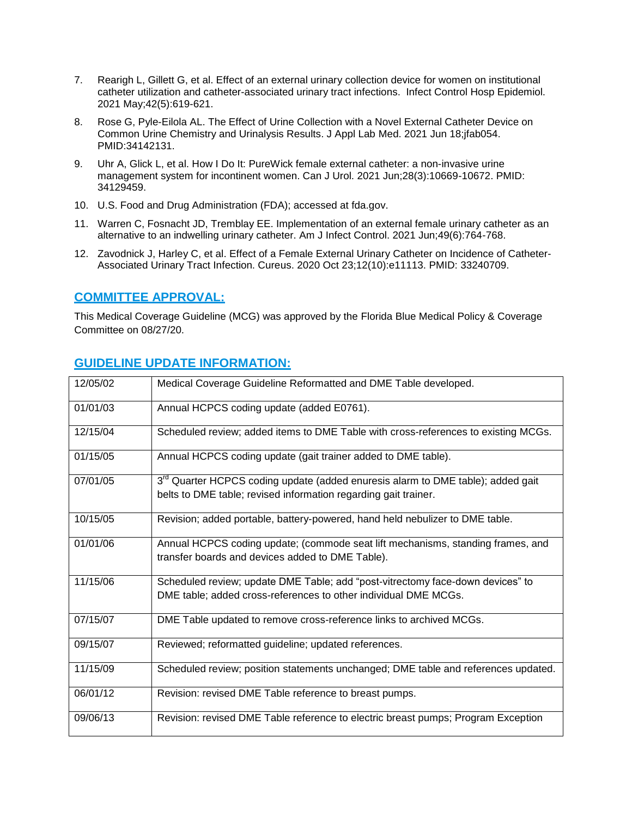- 7. Rearigh L, Gillett G, et al. Effect of an external urinary collection device for women on institutional catheter utilization and catheter-associated urinary tract infections. Infect Control Hosp Epidemiol. 2021 May;42(5):619-621.
- 8. Rose G, Pyle-Eilola AL. The Effect of Urine Collection with a Novel External Catheter Device on Common Urine Chemistry and Urinalysis Results. J Appl Lab Med. 2021 Jun 18;jfab054. PMID:34142131.
- 9. Uhr A, Glick L, et al. How I Do It: PureWick female external catheter: a non-invasive urine management system for incontinent women. Can J Urol. 2021 Jun;28(3):10669-10672. PMID: 34129459.
- 10. U.S. Food and Drug Administration (FDA); accessed at fda.gov.
- 11. Warren C, Fosnacht JD, Tremblay EE. Implementation of an external female urinary catheter as an alternative to an indwelling urinary catheter. Am J Infect Control. 2021 Jun;49(6):764-768.
- 12. Zavodnick J, Harley C, et al. Effect of a Female External Urinary Catheter on Incidence of Catheter-Associated Urinary Tract Infection. Cureus. 2020 Oct 23;12(10):e11113. PMID: 33240709.

## **COMMITTEE APPROVAL:**

This Medical Coverage Guideline (MCG) was approved by the Florida Blue Medical Policy & Coverage Committee on 08/27/20.

## <span id="page-5-0"></span>**GUIDELINE UPDATE INFORMATION:**

| 12/05/02 | Medical Coverage Guideline Reformatted and DME Table developed.                                                                                                |
|----------|----------------------------------------------------------------------------------------------------------------------------------------------------------------|
| 01/01/03 | Annual HCPCS coding update (added E0761).                                                                                                                      |
| 12/15/04 | Scheduled review; added items to DME Table with cross-references to existing MCGs.                                                                             |
| 01/15/05 | Annual HCPCS coding update (gait trainer added to DME table).                                                                                                  |
| 07/01/05 | 3 <sup>rd</sup> Quarter HCPCS coding update (added enuresis alarm to DME table); added gait<br>belts to DME table; revised information regarding gait trainer. |
| 10/15/05 | Revision; added portable, battery-powered, hand held nebulizer to DME table.                                                                                   |
| 01/01/06 | Annual HCPCS coding update; (commode seat lift mechanisms, standing frames, and<br>transfer boards and devices added to DME Table).                            |
| 11/15/06 | Scheduled review; update DME Table; add "post-vitrectomy face-down devices" to<br>DME table; added cross-references to other individual DME MCGs.              |
| 07/15/07 | DME Table updated to remove cross-reference links to archived MCGs.                                                                                            |
| 09/15/07 | Reviewed; reformatted guideline; updated references.                                                                                                           |
| 11/15/09 | Scheduled review; position statements unchanged; DME table and references updated.                                                                             |
| 06/01/12 | Revision: revised DME Table reference to breast pumps.                                                                                                         |
| 09/06/13 | Revision: revised DME Table reference to electric breast pumps; Program Exception                                                                              |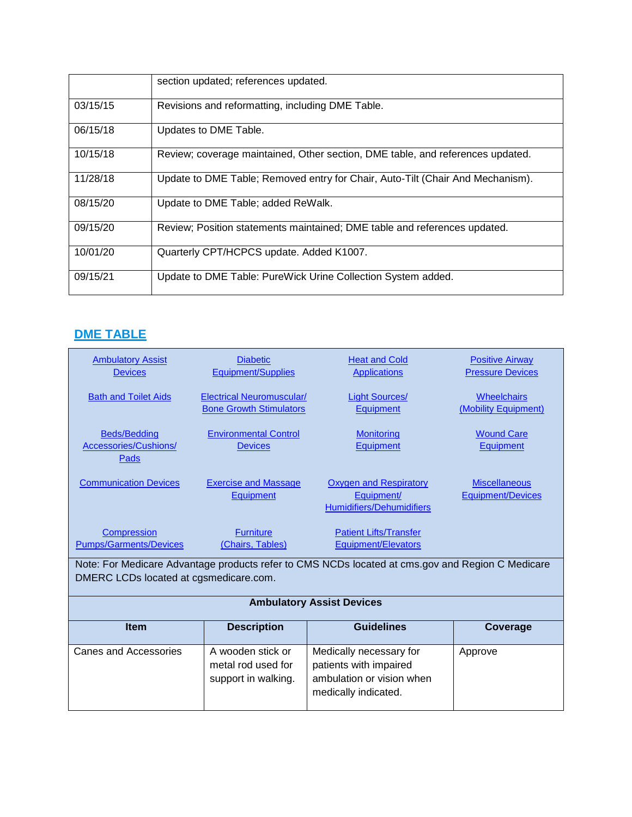|          | section updated; references updated.                                           |
|----------|--------------------------------------------------------------------------------|
| 03/15/15 | Revisions and reformatting, including DME Table.                               |
| 06/15/18 | Updates to DME Table.                                                          |
| 10/15/18 | Review; coverage maintained, Other section, DME table, and references updated. |
| 11/28/18 | Update to DME Table; Removed entry for Chair, Auto-Tilt (Chair And Mechanism). |
| 08/15/20 | Update to DME Table; added ReWalk.                                             |
| 09/15/20 | Review; Position statements maintained; DME table and references updated.      |
| 10/01/20 | Quarterly CPT/HCPCS update. Added K1007.                                       |
| 09/15/21 | Update to DME Table: PureWick Urine Collection System added.                   |

## <span id="page-6-0"></span>**DME TABLE**

<span id="page-6-1"></span>

| <b>Ambulatory Assist</b><br><b>Devices</b>           | <b>Diabetic</b><br><b>Equipment/Supplies</b>                       | <b>Heat and Cold</b><br><b>Applications</b>                                                            | <b>Positive Airway</b><br><b>Pressure Devices</b> |
|------------------------------------------------------|--------------------------------------------------------------------|--------------------------------------------------------------------------------------------------------|---------------------------------------------------|
| <b>Bath and Toilet Aids</b>                          | <b>Electrical Neuromuscular/</b><br><b>Bone Growth Stimulators</b> | <b>Light Sources/</b><br><b>Equipment</b>                                                              | <b>Wheelchairs</b><br>(Mobility Equipment)        |
| <b>Beds/Bedding</b><br>Accessories/Cushions/<br>Pads | <b>Environmental Control</b><br><b>Devices</b>                     | <b>Monitoring</b><br><b>Equipment</b>                                                                  | <b>Wound Care</b><br>Equipment                    |
| <b>Communication Devices</b>                         | <b>Exercise and Massage</b><br><b>Equipment</b>                    | <b>Oxygen and Respiratory</b><br>Equipment/<br><b>Humidifiers/Dehumidifiers</b>                        | <b>Miscellaneous</b><br><b>Equipment/Devices</b>  |
| <b>Compression</b><br><b>Pumps/Garments/Devices</b>  | <b>Furniture</b><br>(Chairs, Tables)                               | <b>Patient Lifts/Transfer</b><br><b>Equipment/Elevators</b>                                            |                                                   |
| DMERC LCDs located at cgsmedicare.com.               |                                                                    | Note: For Medicare Advantage products refer to CMS NCDs located at cms.gov and Region C Medicare       |                                                   |
|                                                      |                                                                    | <b>Ambulatory Assist Devices</b>                                                                       |                                                   |
| <b>Item</b>                                          | <b>Description</b>                                                 | <b>Guidelines</b>                                                                                      | Coverage                                          |
| Canes and Accessories                                | A wooden stick or<br>metal rod used for<br>support in walking.     | Medically necessary for<br>patients with impaired<br>ambulation or vision when<br>medically indicated. | Approve                                           |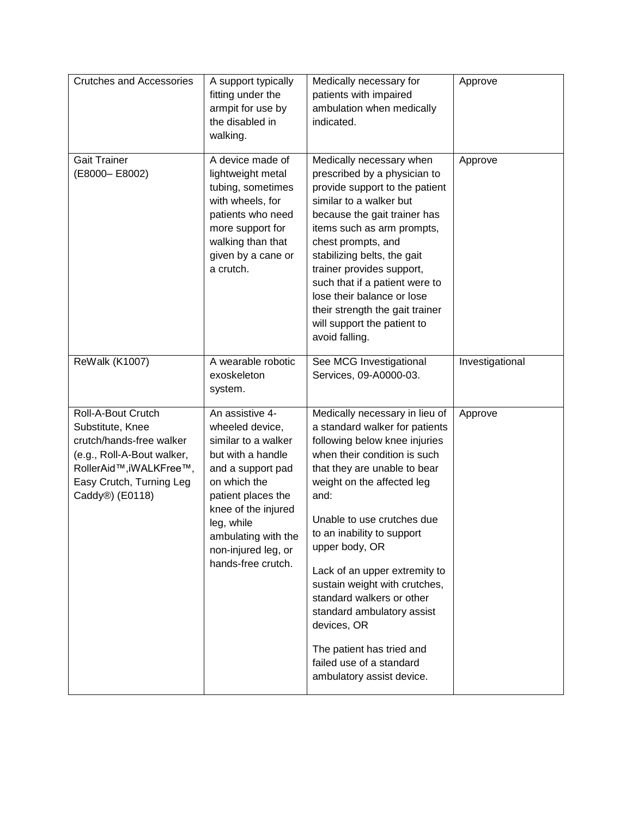| <b>Crutches and Accessories</b>                                                                                                                                            | A support typically<br>fitting under the<br>armpit for use by<br>the disabled in<br>walking.                                                                                                                                                       | Medically necessary for<br>patients with impaired<br>ambulation when medically<br>indicated.                                                                                                                                                                                                                                                                                                                                                                                                                            | Approve         |
|----------------------------------------------------------------------------------------------------------------------------------------------------------------------------|----------------------------------------------------------------------------------------------------------------------------------------------------------------------------------------------------------------------------------------------------|-------------------------------------------------------------------------------------------------------------------------------------------------------------------------------------------------------------------------------------------------------------------------------------------------------------------------------------------------------------------------------------------------------------------------------------------------------------------------------------------------------------------------|-----------------|
| <b>Gait Trainer</b><br>(E8000-E8002)                                                                                                                                       | A device made of<br>lightweight metal<br>tubing, sometimes<br>with wheels, for<br>patients who need<br>more support for<br>walking than that<br>given by a cane or<br>a crutch.                                                                    | Medically necessary when<br>prescribed by a physician to<br>provide support to the patient<br>similar to a walker but<br>because the gait trainer has<br>items such as arm prompts,<br>chest prompts, and<br>stabilizing belts, the gait<br>trainer provides support,<br>such that if a patient were to<br>lose their balance or lose<br>their strength the gait trainer<br>will support the patient to<br>avoid falling.                                                                                               | Approve         |
| <b>ReWalk (K1007)</b>                                                                                                                                                      | A wearable robotic<br>exoskeleton<br>system.                                                                                                                                                                                                       | See MCG Investigational<br>Services, 09-A0000-03.                                                                                                                                                                                                                                                                                                                                                                                                                                                                       | Investigational |
| Roll-A-Bout Crutch<br>Substitute, Knee<br>crutch/hands-free walker<br>(e.g., Roll-A-Bout walker,<br>RollerAid™, iWALKFree™,<br>Easy Crutch, Turning Leg<br>Caddy®) (E0118) | An assistive 4-<br>wheeled device,<br>similar to a walker<br>but with a handle<br>and a support pad<br>on which the<br>patient places the<br>knee of the injured<br>leg, while<br>ambulating with the<br>non-injured leg, or<br>hands-free crutch. | Medically necessary in lieu of<br>a standard walker for patients<br>following below knee injuries<br>when their condition is such<br>that they are unable to bear<br>weight on the affected leg<br>and:<br>Unable to use crutches due<br>to an inability to support<br>upper body, OR<br>Lack of an upper extremity to<br>sustain weight with crutches,<br>standard walkers or other<br>standard ambulatory assist<br>devices, OR<br>The patient has tried and<br>failed use of a standard<br>ambulatory assist device. | Approve         |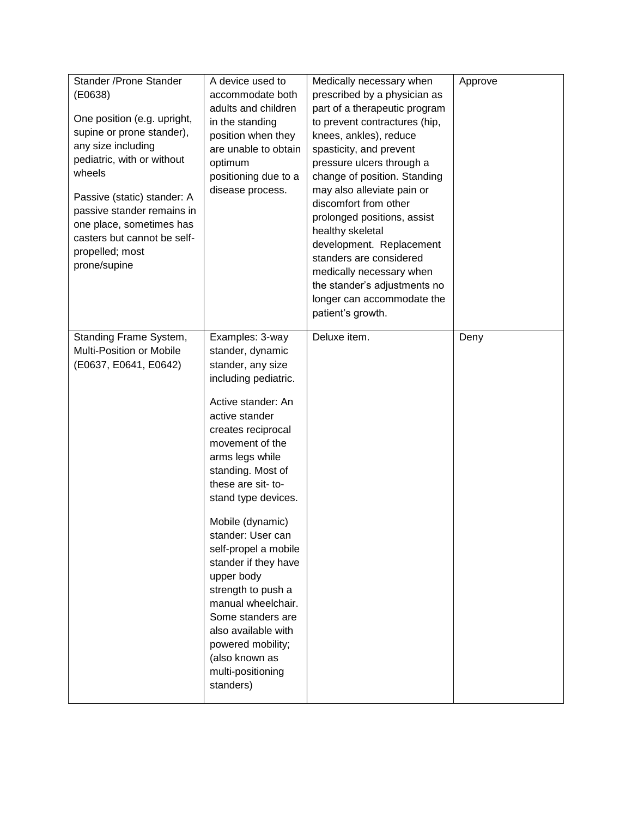| Stander / Prone Stander<br>( E0638)<br>One position (e.g. upright,<br>supine or prone stander),<br>any size including<br>pediatric, with or without<br>wheels<br>Passive (static) stander: A<br>passive stander remains in<br>one place, sometimes has<br>casters but cannot be self-<br>propelled; most<br>prone/supine | A device used to<br>accommodate both<br>adults and children<br>in the standing<br>position when they<br>are unable to obtain<br>optimum<br>positioning due to a<br>disease process.                                                                                                                                                                                                                                                                                                                                            | Medically necessary when<br>prescribed by a physician as<br>part of a therapeutic program<br>to prevent contractures (hip,<br>knees, ankles), reduce<br>spasticity, and prevent<br>pressure ulcers through a<br>change of position. Standing<br>may also alleviate pain or<br>discomfort from other<br>prolonged positions, assist<br>healthy skeletal<br>development. Replacement<br>standers are considered<br>medically necessary when<br>the stander's adjustments no<br>longer can accommodate the<br>patient's growth. | Approve |
|--------------------------------------------------------------------------------------------------------------------------------------------------------------------------------------------------------------------------------------------------------------------------------------------------------------------------|--------------------------------------------------------------------------------------------------------------------------------------------------------------------------------------------------------------------------------------------------------------------------------------------------------------------------------------------------------------------------------------------------------------------------------------------------------------------------------------------------------------------------------|------------------------------------------------------------------------------------------------------------------------------------------------------------------------------------------------------------------------------------------------------------------------------------------------------------------------------------------------------------------------------------------------------------------------------------------------------------------------------------------------------------------------------|---------|
| Standing Frame System,<br>Multi-Position or Mobile<br>(E0637, E0641, E0642)                                                                                                                                                                                                                                              | Examples: 3-way<br>stander, dynamic<br>stander, any size<br>including pediatric.<br>Active stander: An<br>active stander<br>creates reciprocal<br>movement of the<br>arms legs while<br>standing. Most of<br>these are sit- to-<br>stand type devices.<br>Mobile (dynamic)<br>stander: User can<br>self-propel a mobile<br>stander if they have<br>upper body<br>strength to push a<br>manual wheelchair.<br>Some standers are<br>also available with<br>powered mobility;<br>(also known as<br>multi-positioning<br>standers) | Deluxe item.                                                                                                                                                                                                                                                                                                                                                                                                                                                                                                                 | Deny    |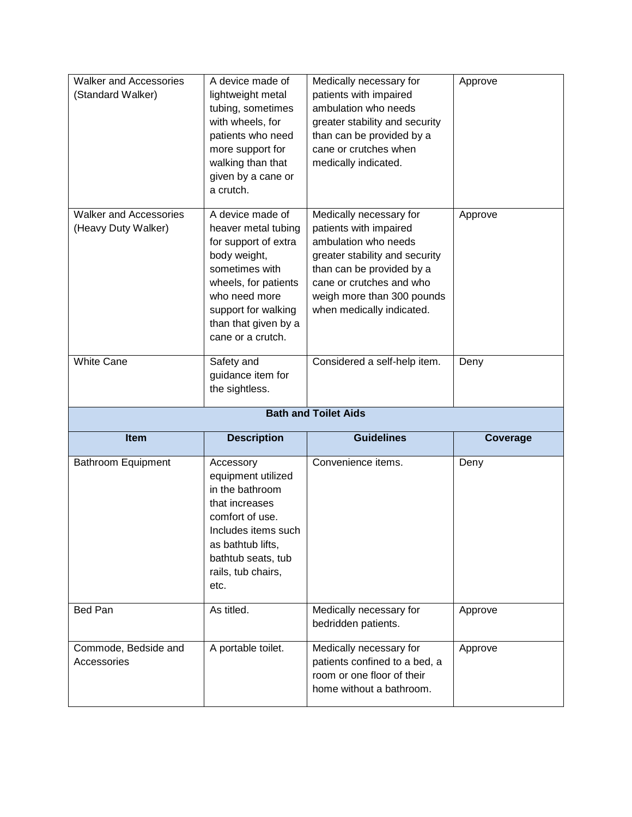| <b>Bath and Toilet Aids</b>                                                                                                                                                                                                                             |                     |
|---------------------------------------------------------------------------------------------------------------------------------------------------------------------------------------------------------------------------------------------------------|---------------------|
| Considered a self-help item.                                                                                                                                                                                                                            | Deny                |
| Medically necessary for<br>patients with impaired<br>ambulation who needs<br>greater stability and security<br>than can be provided by a<br>cane or crutches and who<br>weigh more than 300 pounds<br>when medically indicated.<br>than that given by a | Approve             |
| Medically necessary for<br>patients with impaired<br>ambulation who needs<br>greater stability and security<br>than can be provided by a<br>cane or crutches when<br>medically indicated.                                                               | Approve             |
| wheels, for patients                                                                                                                                                                                                                                    | heaver metal tubing |

| <b>Item</b>                         | <b>Description</b>                                                                                                                                                                      | <b>Guidelines</b>                                                                                                  | Coverage |
|-------------------------------------|-----------------------------------------------------------------------------------------------------------------------------------------------------------------------------------------|--------------------------------------------------------------------------------------------------------------------|----------|
| Bathroom Equipment                  | Accessory<br>equipment utilized<br>in the bathroom<br>that increases<br>comfort of use.<br>Includes items such<br>as bathtub lifts,<br>bathtub seats, tub<br>rails, tub chairs,<br>etc. | Convenience items.                                                                                                 | Deny     |
| Bed Pan                             | As titled.                                                                                                                                                                              | Medically necessary for<br>bedridden patients.                                                                     | Approve  |
| Commode, Bedside and<br>Accessories | A portable toilet.                                                                                                                                                                      | Medically necessary for<br>patients confined to a bed, a<br>room or one floor of their<br>home without a bathroom. | Approve  |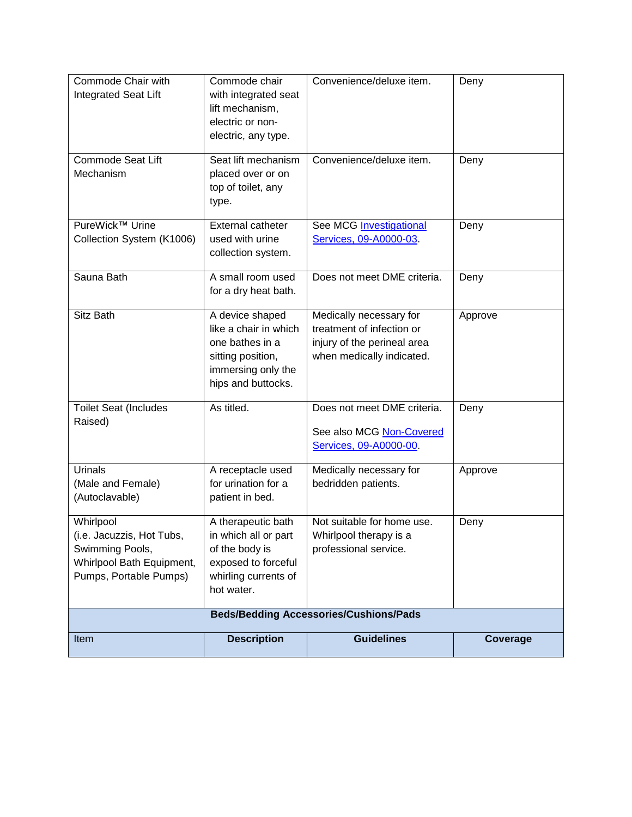<span id="page-10-0"></span>

| Commode Chair with<br><b>Integrated Seat Lift</b>                                                                | Commode chair<br>with integrated seat<br>lift mechanism,<br>electric or non-<br>electric, any type.                          | Convenience/deluxe item.                                                                                         | Deny     |
|------------------------------------------------------------------------------------------------------------------|------------------------------------------------------------------------------------------------------------------------------|------------------------------------------------------------------------------------------------------------------|----------|
| <b>Commode Seat Lift</b><br>Mechanism                                                                            | Seat lift mechanism<br>placed over or on<br>top of toilet, any<br>type.                                                      | Convenience/deluxe item.                                                                                         | Deny     |
| PureWick™ Urine<br>Collection System (K1006)                                                                     | <b>External catheter</b><br>used with urine<br>collection system.                                                            | See MCG Investigational<br>Services, 09-A0000-03.                                                                | Deny     |
| Sauna Bath                                                                                                       | A small room used<br>for a dry heat bath.                                                                                    | Does not meet DME criteria.                                                                                      | Deny     |
| Sitz Bath                                                                                                        | A device shaped<br>like a chair in which<br>one bathes in a<br>sitting position,<br>immersing only the<br>hips and buttocks. | Medically necessary for<br>treatment of infection or<br>injury of the perineal area<br>when medically indicated. | Approve  |
| <b>Toilet Seat (Includes</b><br>Raised)                                                                          | As titled.                                                                                                                   | Does not meet DME criteria.<br>See also MCG Non-Covered<br>Services, 09-A0000-00.                                | Deny     |
| Urinals<br>(Male and Female)<br>(Autoclavable)                                                                   | A receptacle used<br>for urination for a<br>patient in bed.                                                                  | Medically necessary for<br>bedridden patients.                                                                   | Approve  |
| Whirlpool<br>(i.e. Jacuzzis, Hot Tubs,<br>Swimming Pools,<br>Whirlpool Bath Equipment,<br>Pumps, Portable Pumps) | A therapeutic bath<br>in which all or part<br>of the body is<br>exposed to forceful<br>whirling currents of<br>hot water.    | Not suitable for home use.<br>Whirlpool therapy is a<br>professional service.                                    | Deny     |
|                                                                                                                  |                                                                                                                              | <b>Beds/Bedding Accessories/Cushions/Pads</b>                                                                    |          |
| Item                                                                                                             | <b>Description</b>                                                                                                           | <b>Guidelines</b>                                                                                                | Coverage |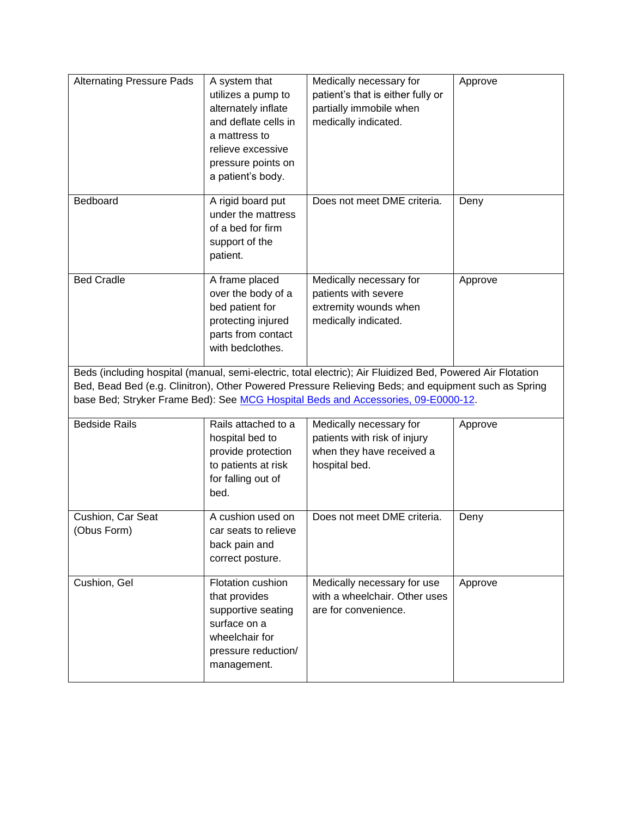| <b>Alternating Pressure Pads</b> | A system that<br>utilizes a pump to<br>alternately inflate<br>and deflate cells in<br>a mattress to<br>relieve excessive<br>pressure points on<br>a patient's body. | Medically necessary for<br>patient's that is either fully or<br>partially immobile when<br>medically indicated.                                                                                                                                                                                        | Approve |
|----------------------------------|---------------------------------------------------------------------------------------------------------------------------------------------------------------------|--------------------------------------------------------------------------------------------------------------------------------------------------------------------------------------------------------------------------------------------------------------------------------------------------------|---------|
| Bedboard                         | A rigid board put<br>under the mattress<br>of a bed for firm<br>support of the<br>patient.                                                                          | Does not meet DME criteria.                                                                                                                                                                                                                                                                            | Deny    |
| <b>Bed Cradle</b>                | A frame placed<br>over the body of a<br>bed patient for<br>protecting injured<br>parts from contact<br>with bedclothes.                                             | Medically necessary for<br>patients with severe<br>extremity wounds when<br>medically indicated.                                                                                                                                                                                                       | Approve |
|                                  |                                                                                                                                                                     | Beds (including hospital (manual, semi-electric, total electric); Air Fluidized Bed, Powered Air Flotation<br>Bed, Bead Bed (e.g. Clinitron), Other Powered Pressure Relieving Beds; and equipment such as Spring<br>base Bed; Stryker Frame Bed): See MCG Hospital Beds and Accessories, 09-E0000-12. |         |
| <b>Bedside Rails</b>             | Rails attached to a<br>hospital bed to<br>provide protection<br>to patients at risk<br>for falling out of<br>bed.                                                   | Medically necessary for<br>patients with risk of injury<br>when they have received a<br>hospital bed.                                                                                                                                                                                                  | Approve |
| Cushion, Car Seat<br>(Obus Form) | A cushion used on<br>car seats to relieve<br>back pain and<br>correct posture.                                                                                      | Does not meet DME criteria.                                                                                                                                                                                                                                                                            | Deny    |
| Cushion, Gel                     | Flotation cushion<br>that provides<br>supportive seating<br>surface on a<br>wheelchair for<br>pressure reduction/<br>management.                                    | Medically necessary for use<br>with a wheelchair. Other uses<br>are for convenience.                                                                                                                                                                                                                   | Approve |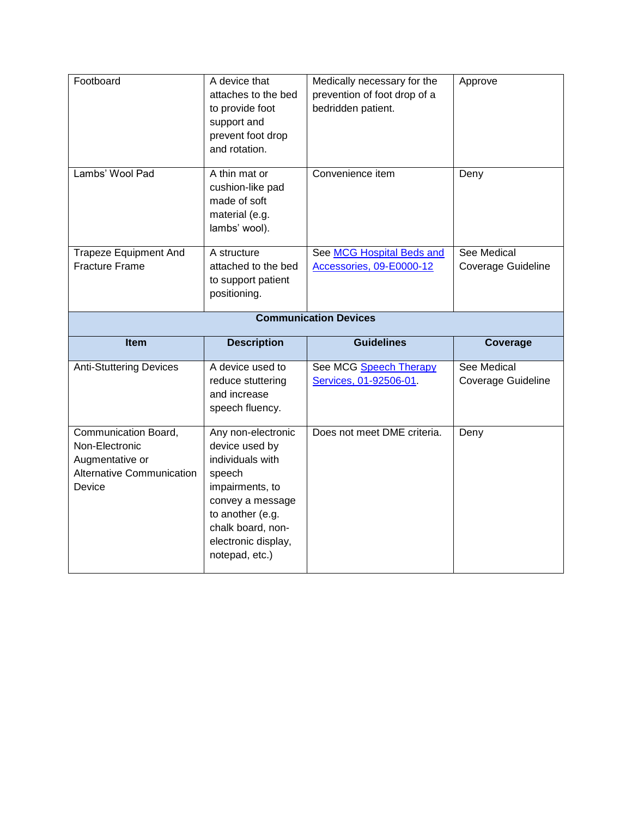<span id="page-12-0"></span>

| Footboard                                             | A device that<br>attaches to the bed<br>to provide foot<br>support and<br>prevent foot drop<br>and rotation. | Medically necessary for the<br>prevention of foot drop of a<br>bedridden patient. | Approve                           |  |
|-------------------------------------------------------|--------------------------------------------------------------------------------------------------------------|-----------------------------------------------------------------------------------|-----------------------------------|--|
| Lambs' Wool Pad                                       | A thin mat or<br>cushion-like pad<br>made of soft<br>material (e.g.<br>lambs' wool).                         | Convenience item                                                                  | Deny                              |  |
| <b>Trapeze Equipment And</b><br><b>Fracture Frame</b> | A structure<br>attached to the bed<br>to support patient<br>positioning.                                     | See MCG Hospital Beds and<br>Accessories, 09-E0000-12                             | See Medical<br>Coverage Guideline |  |
| <b>Communication Devices</b>                          |                                                                                                              |                                                                                   |                                   |  |
|                                                       |                                                                                                              |                                                                                   |                                   |  |
| Item                                                  | <b>Description</b>                                                                                           | <b>Guidelines</b>                                                                 | Coverage                          |  |
| <b>Anti-Stuttering Devices</b>                        | A device used to<br>reduce stuttering<br>and increase<br>speech fluency.                                     | See MCG Speech Therapy<br>Services, 01-92506-01.                                  | See Medical<br>Coverage Guideline |  |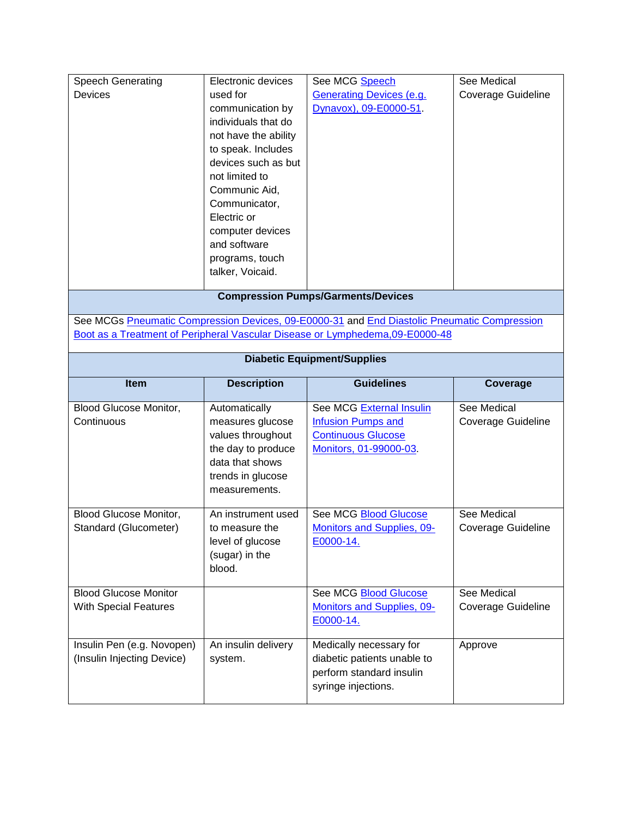| <b>Speech Generating</b><br>Devices                          | Electronic devices<br>used for<br>communication by<br>individuals that do<br>not have the ability<br>to speak. Includes<br>devices such as but<br>not limited to<br>Communic Aid,<br>Communicator,<br>Electric or | See MCG Speech<br><b>Generating Devices (e.g.</b><br>Dynavox), 09-E0000-51.                                                                                                  | See Medical<br><b>Coverage Guideline</b> |
|--------------------------------------------------------------|-------------------------------------------------------------------------------------------------------------------------------------------------------------------------------------------------------------------|------------------------------------------------------------------------------------------------------------------------------------------------------------------------------|------------------------------------------|
|                                                              | computer devices<br>and software<br>programs, touch<br>talker, Voicaid.                                                                                                                                           |                                                                                                                                                                              |                                          |
|                                                              |                                                                                                                                                                                                                   | <b>Compression Pumps/Garments/Devices</b>                                                                                                                                    |                                          |
|                                                              |                                                                                                                                                                                                                   | See MCGs Pneumatic Compression Devices, 09-E0000-31 and End Diastolic Pneumatic Compression<br>Boot as a Treatment of Peripheral Vascular Disease or Lymphedema, 09-E0000-48 |                                          |
|                                                              |                                                                                                                                                                                                                   | <b>Diabetic Equipment/Supplies</b>                                                                                                                                           |                                          |
| Item                                                         | <b>Description</b>                                                                                                                                                                                                | <b>Guidelines</b>                                                                                                                                                            | Coverage                                 |
| <b>Blood Glucose Monitor,</b><br>Continuous                  | Automatically<br>measures glucose<br>values throughout<br>the day to produce<br>data that shows<br>trends in glucose<br>measurements.                                                                             | See MCG External Insulin<br><b>Infusion Pumps and</b><br><b>Continuous Glucose</b><br>Monitors, 01-99000-03.                                                                 | See Medical<br>Coverage Guideline        |
| Blood Glucose Monitor,<br>Standard (Glucometer)              | An instrument used<br>to measure the<br>level of glucose<br>(sugar) in the<br>blood.                                                                                                                              | See MCG Blood Glucose<br><b>Monitors and Supplies, 09-</b><br>E0000-14.                                                                                                      | See Medical<br>Coverage Guideline        |
| <b>Blood Glucose Monitor</b><br><b>With Special Features</b> |                                                                                                                                                                                                                   | See MCG <b>Blood Glucose</b><br><b>Monitors and Supplies, 09-</b><br>E0000-14.                                                                                               | See Medical<br>Coverage Guideline        |
| Insulin Pen (e.g. Novopen)<br>(Insulin Injecting Device)     | An insulin delivery<br>system.                                                                                                                                                                                    | Medically necessary for<br>diabetic patients unable to<br>perform standard insulin<br>syringe injections.                                                                    | Approve                                  |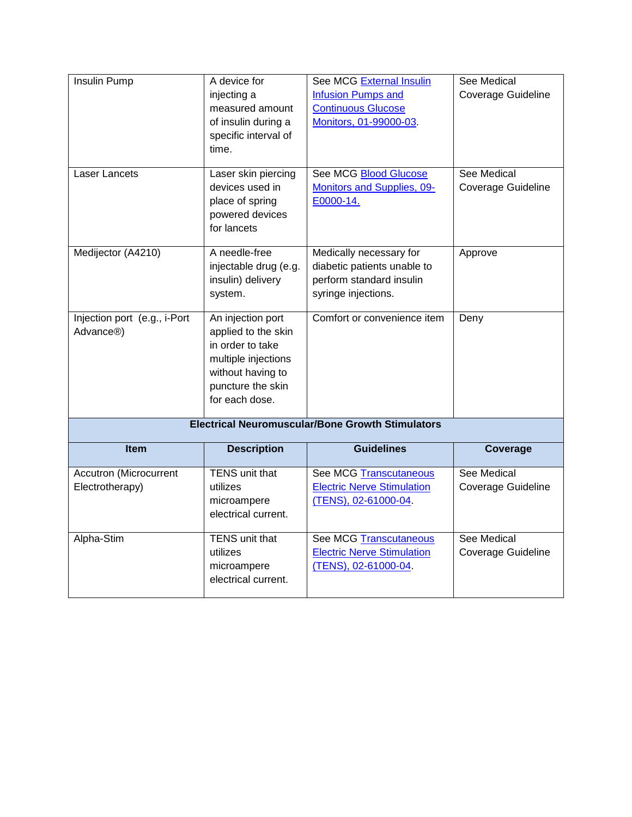| Insulin Pump                 | A device for          | See MCG External Insulin                                | See Medical               |
|------------------------------|-----------------------|---------------------------------------------------------|---------------------------|
|                              | injecting a           | <b>Infusion Pumps and</b>                               | <b>Coverage Guideline</b> |
|                              | measured amount       | <b>Continuous Glucose</b>                               |                           |
|                              | of insulin during a   | Monitors, 01-99000-03.                                  |                           |
|                              | specific interval of  |                                                         |                           |
|                              | time.                 |                                                         |                           |
|                              |                       |                                                         |                           |
| Laser Lancets                | Laser skin piercing   | See MCG Blood Glucose                                   | See Medical               |
|                              | devices used in       | <b>Monitors and Supplies, 09-</b>                       | Coverage Guideline        |
|                              | place of spring       | E0000-14.                                               |                           |
|                              | powered devices       |                                                         |                           |
|                              | for lancets           |                                                         |                           |
|                              |                       |                                                         |                           |
| Medijector (A4210)           | A needle-free         | Medically necessary for                                 | Approve                   |
|                              | injectable drug (e.g. | diabetic patients unable to                             |                           |
|                              | insulin) delivery     | perform standard insulin                                |                           |
|                              | system.               | syringe injections.                                     |                           |
| Injection port (e.g., i-Port | An injection port     | Comfort or convenience item                             | Deny                      |
| Advance <sup>®</sup> )       | applied to the skin   |                                                         |                           |
|                              | in order to take      |                                                         |                           |
|                              | multiple injections   |                                                         |                           |
|                              | without having to     |                                                         |                           |
|                              | puncture the skin     |                                                         |                           |
|                              | for each dose.        |                                                         |                           |
|                              |                       |                                                         |                           |
|                              |                       | <b>Electrical Neuromuscular/Bone Growth Stimulators</b> |                           |
| Item                         | <b>Description</b>    | <b>Guidelines</b>                                       | Coverage                  |
| Accutron (Microcurrent       | TENS unit that        | See MCG Transcutaneous                                  | See Medical               |
| Electrotherapy)              | utilizes              | <b>Electric Nerve Stimulation</b>                       | Coverage Guideline        |
|                              | microampere           | (TENS), 02-61000-04.                                    |                           |
|                              | electrical current.   |                                                         |                           |
|                              |                       |                                                         |                           |
| Alpha-Stim                   | TENS unit that        | <b>See MCG Transcutaneous</b>                           | See Medical               |
|                              | utilizes              | <b>Electric Nerve Stimulation</b>                       | Coverage Guideline        |
|                              | microampere           | (TENS), 02-61000-04.                                    |                           |
|                              | electrical current.   |                                                         |                           |
|                              |                       |                                                         |                           |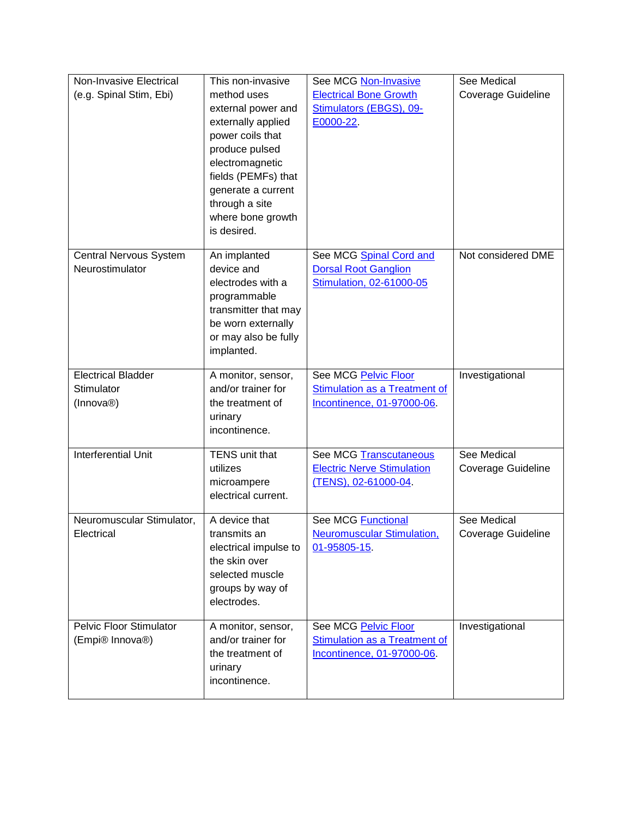| Non-Invasive Electrical<br>(e.g. Spinal Stim, Ebi)                | This non-invasive<br>method uses                                                                                                                    | See MCG Non-Invasive<br><b>Electrical Bone Growth</b>                                      | See Medical<br>Coverage Guideline        |
|-------------------------------------------------------------------|-----------------------------------------------------------------------------------------------------------------------------------------------------|--------------------------------------------------------------------------------------------|------------------------------------------|
|                                                                   | external power and<br>externally applied<br>power coils that<br>produce pulsed<br>electromagnetic<br>fields (PEMFs) that<br>generate a current      | Stimulators (EBGS), 09-<br>E0000-22.                                                       |                                          |
|                                                                   | through a site<br>where bone growth<br>is desired.                                                                                                  |                                                                                            |                                          |
| Central Nervous System<br>Neurostimulator                         | An implanted<br>device and<br>electrodes with a<br>programmable<br>transmitter that may<br>be worn externally<br>or may also be fully<br>implanted. | See MCG Spinal Cord and<br><b>Dorsal Root Ganglion</b><br>Stimulation, 02-61000-05         | Not considered DME                       |
| <b>Electrical Bladder</b><br>Stimulator<br>(Innova <sup>®</sup> ) | A monitor, sensor,<br>and/or trainer for<br>the treatment of<br>urinary<br>incontinence.                                                            | See MCG Pelvic Floor<br>Stimulation as a Treatment of<br>Incontinence, 01-97000-06.        | Investigational                          |
| <b>Interferential Unit</b>                                        | TENS unit that<br>utilizes<br>microampere<br>electrical current.                                                                                    | <b>See MCG Transcutaneous</b><br><b>Electric Nerve Stimulation</b><br>(TENS), 02-61000-04. | See Medical<br>Coverage Guideline        |
| Neuromuscular Stimulator,<br>Electrical                           | A device that<br>transmits an<br>electrical impulse to<br>the skin over<br>selected muscle<br>groups by way of<br>electrodes.                       | <b>See MCG Functional</b><br><b>Neuromuscular Stimulation,</b><br>01-95805-15              | See Medical<br><b>Coverage Guideline</b> |
| <b>Pelvic Floor Stimulator</b><br>(Empi® Innova®)                 | A monitor, sensor,<br>and/or trainer for<br>the treatment of<br>urinary<br>incontinence.                                                            | See MCG Pelvic Floor<br>Stimulation as a Treatment of<br>Incontinence, 01-97000-06.        | Investigational                          |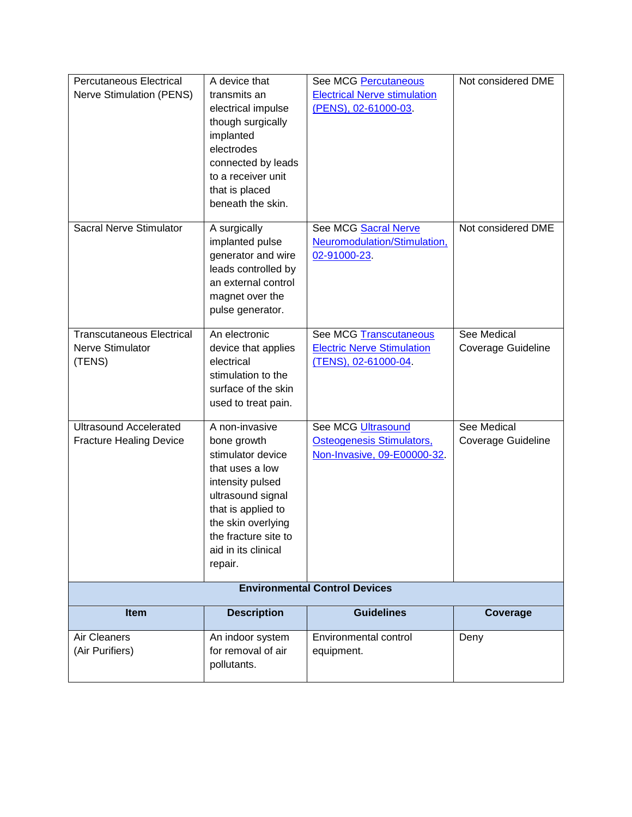| <b>Electrical Nerve stimulation</b><br><b>Nerve Stimulation (PENS)</b><br>transmits an<br>(PENS), 02-61000-03<br>electrical impulse<br>though surgically<br>implanted<br>electrodes<br>connected by leads<br>to a receiver unit<br>that is placed<br>beneath the skin.<br>Sacral Nerve Stimulator<br>Not considered DME<br>A surgically<br>See MCG Sacral Nerve<br>implanted pulse<br>Neuromodulation/Stimulation,<br>generator and wire<br>02-91000-23<br>leads controlled by<br>an external control<br>magnet over the<br>pulse generator.<br><b>Transcutaneous Electrical</b><br>An electronic<br><b>See MCG Transcutaneous</b><br>See Medical<br>Nerve Stimulator<br><b>Electric Nerve Stimulation</b><br>device that applies<br>Coverage Guideline<br>(TENS)<br>electrical<br>(TENS), 02-61000-04.<br>stimulation to the<br>surface of the skin<br>used to treat pain.<br><b>Ultrasound Accelerated</b><br>A non-invasive<br>See MCG Ultrasound<br>See Medical<br><b>Osteogenesis Stimulators,</b><br><b>Fracture Healing Device</b><br>bone growth<br><b>Coverage Guideline</b><br>Non-Invasive, 09-E00000-32.<br>stimulator device<br>that uses a low<br>intensity pulsed<br>ultrasound signal<br>that is applied to<br>the skin overlying<br>the fracture site to<br>aid in its clinical<br>repair.<br><b>Environmental Control Devices</b><br><b>Guidelines</b><br>Item<br><b>Description</b><br>Coverage<br>Air Cleaners<br>An indoor system<br>Environmental control<br>Deny<br>(Air Purifiers)<br>for removal of air<br>equipment.<br>pollutants. | <b>Percutaneous Electrical</b> | A device that | See MCG Percutaneous | Not considered DME |
|---------------------------------------------------------------------------------------------------------------------------------------------------------------------------------------------------------------------------------------------------------------------------------------------------------------------------------------------------------------------------------------------------------------------------------------------------------------------------------------------------------------------------------------------------------------------------------------------------------------------------------------------------------------------------------------------------------------------------------------------------------------------------------------------------------------------------------------------------------------------------------------------------------------------------------------------------------------------------------------------------------------------------------------------------------------------------------------------------------------------------------------------------------------------------------------------------------------------------------------------------------------------------------------------------------------------------------------------------------------------------------------------------------------------------------------------------------------------------------------------------------------------------------------------------------------|--------------------------------|---------------|----------------------|--------------------|
|                                                                                                                                                                                                                                                                                                                                                                                                                                                                                                                                                                                                                                                                                                                                                                                                                                                                                                                                                                                                                                                                                                                                                                                                                                                                                                                                                                                                                                                                                                                                                               |                                |               |                      |                    |
|                                                                                                                                                                                                                                                                                                                                                                                                                                                                                                                                                                                                                                                                                                                                                                                                                                                                                                                                                                                                                                                                                                                                                                                                                                                                                                                                                                                                                                                                                                                                                               |                                |               |                      |                    |
|                                                                                                                                                                                                                                                                                                                                                                                                                                                                                                                                                                                                                                                                                                                                                                                                                                                                                                                                                                                                                                                                                                                                                                                                                                                                                                                                                                                                                                                                                                                                                               |                                |               |                      |                    |
|                                                                                                                                                                                                                                                                                                                                                                                                                                                                                                                                                                                                                                                                                                                                                                                                                                                                                                                                                                                                                                                                                                                                                                                                                                                                                                                                                                                                                                                                                                                                                               |                                |               |                      |                    |
|                                                                                                                                                                                                                                                                                                                                                                                                                                                                                                                                                                                                                                                                                                                                                                                                                                                                                                                                                                                                                                                                                                                                                                                                                                                                                                                                                                                                                                                                                                                                                               |                                |               |                      |                    |
|                                                                                                                                                                                                                                                                                                                                                                                                                                                                                                                                                                                                                                                                                                                                                                                                                                                                                                                                                                                                                                                                                                                                                                                                                                                                                                                                                                                                                                                                                                                                                               |                                |               |                      |                    |
|                                                                                                                                                                                                                                                                                                                                                                                                                                                                                                                                                                                                                                                                                                                                                                                                                                                                                                                                                                                                                                                                                                                                                                                                                                                                                                                                                                                                                                                                                                                                                               |                                |               |                      |                    |
|                                                                                                                                                                                                                                                                                                                                                                                                                                                                                                                                                                                                                                                                                                                                                                                                                                                                                                                                                                                                                                                                                                                                                                                                                                                                                                                                                                                                                                                                                                                                                               |                                |               |                      |                    |
|                                                                                                                                                                                                                                                                                                                                                                                                                                                                                                                                                                                                                                                                                                                                                                                                                                                                                                                                                                                                                                                                                                                                                                                                                                                                                                                                                                                                                                                                                                                                                               |                                |               |                      |                    |
|                                                                                                                                                                                                                                                                                                                                                                                                                                                                                                                                                                                                                                                                                                                                                                                                                                                                                                                                                                                                                                                                                                                                                                                                                                                                                                                                                                                                                                                                                                                                                               |                                |               |                      |                    |
|                                                                                                                                                                                                                                                                                                                                                                                                                                                                                                                                                                                                                                                                                                                                                                                                                                                                                                                                                                                                                                                                                                                                                                                                                                                                                                                                                                                                                                                                                                                                                               |                                |               |                      |                    |
|                                                                                                                                                                                                                                                                                                                                                                                                                                                                                                                                                                                                                                                                                                                                                                                                                                                                                                                                                                                                                                                                                                                                                                                                                                                                                                                                                                                                                                                                                                                                                               |                                |               |                      |                    |
|                                                                                                                                                                                                                                                                                                                                                                                                                                                                                                                                                                                                                                                                                                                                                                                                                                                                                                                                                                                                                                                                                                                                                                                                                                                                                                                                                                                                                                                                                                                                                               |                                |               |                      |                    |
|                                                                                                                                                                                                                                                                                                                                                                                                                                                                                                                                                                                                                                                                                                                                                                                                                                                                                                                                                                                                                                                                                                                                                                                                                                                                                                                                                                                                                                                                                                                                                               |                                |               |                      |                    |
|                                                                                                                                                                                                                                                                                                                                                                                                                                                                                                                                                                                                                                                                                                                                                                                                                                                                                                                                                                                                                                                                                                                                                                                                                                                                                                                                                                                                                                                                                                                                                               |                                |               |                      |                    |
|                                                                                                                                                                                                                                                                                                                                                                                                                                                                                                                                                                                                                                                                                                                                                                                                                                                                                                                                                                                                                                                                                                                                                                                                                                                                                                                                                                                                                                                                                                                                                               |                                |               |                      |                    |
|                                                                                                                                                                                                                                                                                                                                                                                                                                                                                                                                                                                                                                                                                                                                                                                                                                                                                                                                                                                                                                                                                                                                                                                                                                                                                                                                                                                                                                                                                                                                                               |                                |               |                      |                    |
|                                                                                                                                                                                                                                                                                                                                                                                                                                                                                                                                                                                                                                                                                                                                                                                                                                                                                                                                                                                                                                                                                                                                                                                                                                                                                                                                                                                                                                                                                                                                                               |                                |               |                      |                    |
|                                                                                                                                                                                                                                                                                                                                                                                                                                                                                                                                                                                                                                                                                                                                                                                                                                                                                                                                                                                                                                                                                                                                                                                                                                                                                                                                                                                                                                                                                                                                                               |                                |               |                      |                    |
|                                                                                                                                                                                                                                                                                                                                                                                                                                                                                                                                                                                                                                                                                                                                                                                                                                                                                                                                                                                                                                                                                                                                                                                                                                                                                                                                                                                                                                                                                                                                                               |                                |               |                      |                    |
|                                                                                                                                                                                                                                                                                                                                                                                                                                                                                                                                                                                                                                                                                                                                                                                                                                                                                                                                                                                                                                                                                                                                                                                                                                                                                                                                                                                                                                                                                                                                                               |                                |               |                      |                    |
|                                                                                                                                                                                                                                                                                                                                                                                                                                                                                                                                                                                                                                                                                                                                                                                                                                                                                                                                                                                                                                                                                                                                                                                                                                                                                                                                                                                                                                                                                                                                                               |                                |               |                      |                    |
|                                                                                                                                                                                                                                                                                                                                                                                                                                                                                                                                                                                                                                                                                                                                                                                                                                                                                                                                                                                                                                                                                                                                                                                                                                                                                                                                                                                                                                                                                                                                                               |                                |               |                      |                    |
|                                                                                                                                                                                                                                                                                                                                                                                                                                                                                                                                                                                                                                                                                                                                                                                                                                                                                                                                                                                                                                                                                                                                                                                                                                                                                                                                                                                                                                                                                                                                                               |                                |               |                      |                    |
|                                                                                                                                                                                                                                                                                                                                                                                                                                                                                                                                                                                                                                                                                                                                                                                                                                                                                                                                                                                                                                                                                                                                                                                                                                                                                                                                                                                                                                                                                                                                                               |                                |               |                      |                    |
|                                                                                                                                                                                                                                                                                                                                                                                                                                                                                                                                                                                                                                                                                                                                                                                                                                                                                                                                                                                                                                                                                                                                                                                                                                                                                                                                                                                                                                                                                                                                                               |                                |               |                      |                    |
|                                                                                                                                                                                                                                                                                                                                                                                                                                                                                                                                                                                                                                                                                                                                                                                                                                                                                                                                                                                                                                                                                                                                                                                                                                                                                                                                                                                                                                                                                                                                                               |                                |               |                      |                    |
|                                                                                                                                                                                                                                                                                                                                                                                                                                                                                                                                                                                                                                                                                                                                                                                                                                                                                                                                                                                                                                                                                                                                                                                                                                                                                                                                                                                                                                                                                                                                                               |                                |               |                      |                    |
|                                                                                                                                                                                                                                                                                                                                                                                                                                                                                                                                                                                                                                                                                                                                                                                                                                                                                                                                                                                                                                                                                                                                                                                                                                                                                                                                                                                                                                                                                                                                                               |                                |               |                      |                    |
|                                                                                                                                                                                                                                                                                                                                                                                                                                                                                                                                                                                                                                                                                                                                                                                                                                                                                                                                                                                                                                                                                                                                                                                                                                                                                                                                                                                                                                                                                                                                                               |                                |               |                      |                    |
|                                                                                                                                                                                                                                                                                                                                                                                                                                                                                                                                                                                                                                                                                                                                                                                                                                                                                                                                                                                                                                                                                                                                                                                                                                                                                                                                                                                                                                                                                                                                                               |                                |               |                      |                    |
|                                                                                                                                                                                                                                                                                                                                                                                                                                                                                                                                                                                                                                                                                                                                                                                                                                                                                                                                                                                                                                                                                                                                                                                                                                                                                                                                                                                                                                                                                                                                                               |                                |               |                      |                    |
|                                                                                                                                                                                                                                                                                                                                                                                                                                                                                                                                                                                                                                                                                                                                                                                                                                                                                                                                                                                                                                                                                                                                                                                                                                                                                                                                                                                                                                                                                                                                                               |                                |               |                      |                    |
|                                                                                                                                                                                                                                                                                                                                                                                                                                                                                                                                                                                                                                                                                                                                                                                                                                                                                                                                                                                                                                                                                                                                                                                                                                                                                                                                                                                                                                                                                                                                                               |                                |               |                      |                    |
|                                                                                                                                                                                                                                                                                                                                                                                                                                                                                                                                                                                                                                                                                                                                                                                                                                                                                                                                                                                                                                                                                                                                                                                                                                                                                                                                                                                                                                                                                                                                                               |                                |               |                      |                    |
|                                                                                                                                                                                                                                                                                                                                                                                                                                                                                                                                                                                                                                                                                                                                                                                                                                                                                                                                                                                                                                                                                                                                                                                                                                                                                                                                                                                                                                                                                                                                                               |                                |               |                      |                    |
|                                                                                                                                                                                                                                                                                                                                                                                                                                                                                                                                                                                                                                                                                                                                                                                                                                                                                                                                                                                                                                                                                                                                                                                                                                                                                                                                                                                                                                                                                                                                                               |                                |               |                      |                    |
|                                                                                                                                                                                                                                                                                                                                                                                                                                                                                                                                                                                                                                                                                                                                                                                                                                                                                                                                                                                                                                                                                                                                                                                                                                                                                                                                                                                                                                                                                                                                                               |                                |               |                      |                    |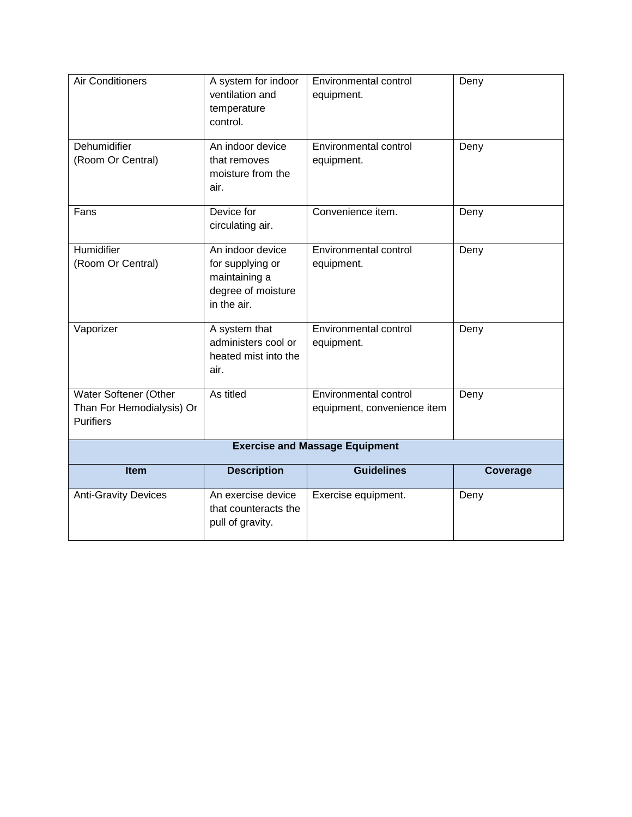| <b>Air Conditioners</b>                                                | A system for indoor<br>ventilation and<br>temperature<br>control.                          | <b>Environmental control</b><br>equipment.           | Deny     |
|------------------------------------------------------------------------|--------------------------------------------------------------------------------------------|------------------------------------------------------|----------|
| Dehumidifier<br>(Room Or Central)                                      | An indoor device<br>that removes<br>moisture from the<br>air.                              | Environmental control<br>equipment.                  | Deny     |
| Fans                                                                   | Device for<br>circulating air.                                                             | Convenience item.                                    | Deny     |
| Humidifier<br>(Room Or Central)                                        | An indoor device<br>for supplying or<br>maintaining a<br>degree of moisture<br>in the air. | Environmental control<br>equipment.                  | Deny     |
| Vaporizer                                                              | A system that<br>administers cool or<br>heated mist into the<br>air.                       | Environmental control<br>equipment.                  | Deny     |
| Water Softener (Other<br>Than For Hemodialysis) Or<br><b>Purifiers</b> | As titled                                                                                  | Environmental control<br>equipment, convenience item | Deny     |
|                                                                        |                                                                                            | <b>Exercise and Massage Equipment</b>                |          |
| Item                                                                   | <b>Description</b>                                                                         | <b>Guidelines</b>                                    | Coverage |
| <b>Anti-Gravity Devices</b>                                            | An exercise device<br>that counteracts the<br>pull of gravity.                             | Exercise equipment.                                  | Deny     |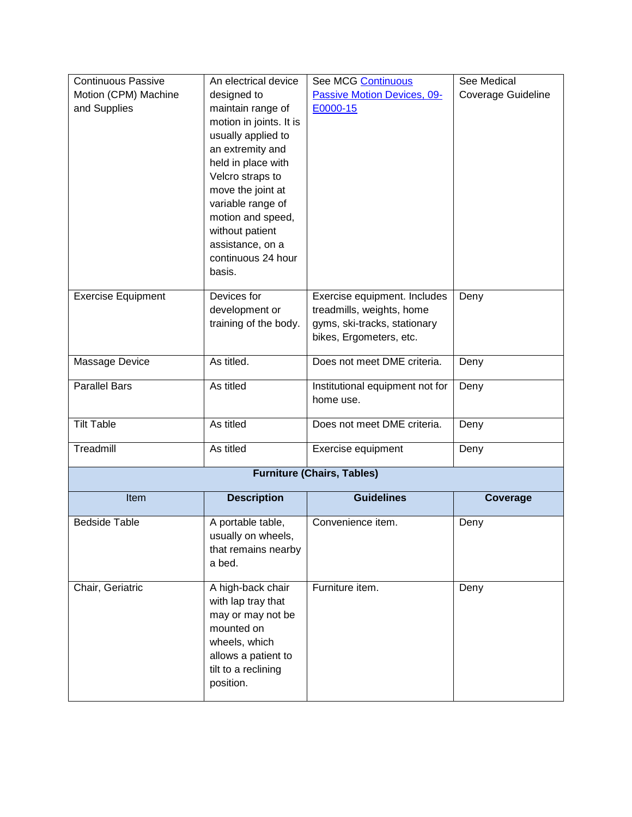<span id="page-18-0"></span>

| <b>Continuous Passive</b> | An electrical device                       | See MCG Continuous                           | See Medical               |
|---------------------------|--------------------------------------------|----------------------------------------------|---------------------------|
| Motion (CPM) Machine      | designed to                                | Passive Motion Devices, 09-                  | <b>Coverage Guideline</b> |
| and Supplies              | maintain range of                          | E0000-15                                     |                           |
|                           | motion in joints. It is                    |                                              |                           |
|                           | usually applied to                         |                                              |                           |
|                           | an extremity and                           |                                              |                           |
|                           | held in place with                         |                                              |                           |
|                           | Velcro straps to                           |                                              |                           |
|                           | move the joint at                          |                                              |                           |
|                           | variable range of                          |                                              |                           |
|                           | motion and speed,<br>without patient       |                                              |                           |
|                           | assistance, on a                           |                                              |                           |
|                           | continuous 24 hour                         |                                              |                           |
|                           | basis.                                     |                                              |                           |
|                           |                                            |                                              |                           |
| <b>Exercise Equipment</b> | Devices for                                | Exercise equipment. Includes                 | Deny                      |
|                           | development or                             | treadmills, weights, home                    |                           |
|                           | training of the body.                      | gyms, ski-tracks, stationary                 |                           |
|                           |                                            | bikes, Ergometers, etc.                      |                           |
| Massage Device            | As titled.                                 | Does not meet DME criteria.                  | Deny                      |
|                           |                                            |                                              |                           |
| <b>Parallel Bars</b>      | As titled                                  | Institutional equipment not for<br>home use. | Deny                      |
|                           |                                            |                                              |                           |
| <b>Tilt Table</b>         | As titled                                  | Does not meet DME criteria.                  | Deny                      |
| Treadmill                 | As titled                                  | Exercise equipment                           | Deny                      |
|                           |                                            |                                              |                           |
|                           |                                            | <b>Furniture (Chairs, Tables)</b>            |                           |
| Item                      | <b>Description</b>                         | <b>Guidelines</b>                            | Coverage                  |
| <b>Bedside Table</b>      | A portable table,                          | Convenience item.                            | Deny                      |
|                           | usually on wheels,                         |                                              |                           |
|                           | that remains nearby                        |                                              |                           |
|                           | a bed.                                     |                                              |                           |
|                           |                                            |                                              |                           |
| Chair, Geriatric          | A high-back chair                          | Furniture item.                              | Deny                      |
|                           | with lap tray that                         |                                              |                           |
|                           | may or may not be                          |                                              |                           |
|                           | mounted on                                 |                                              |                           |
|                           | wheels, which                              |                                              |                           |
|                           | allows a patient to<br>tilt to a reclining |                                              |                           |
|                           | position.                                  |                                              |                           |
|                           |                                            |                                              |                           |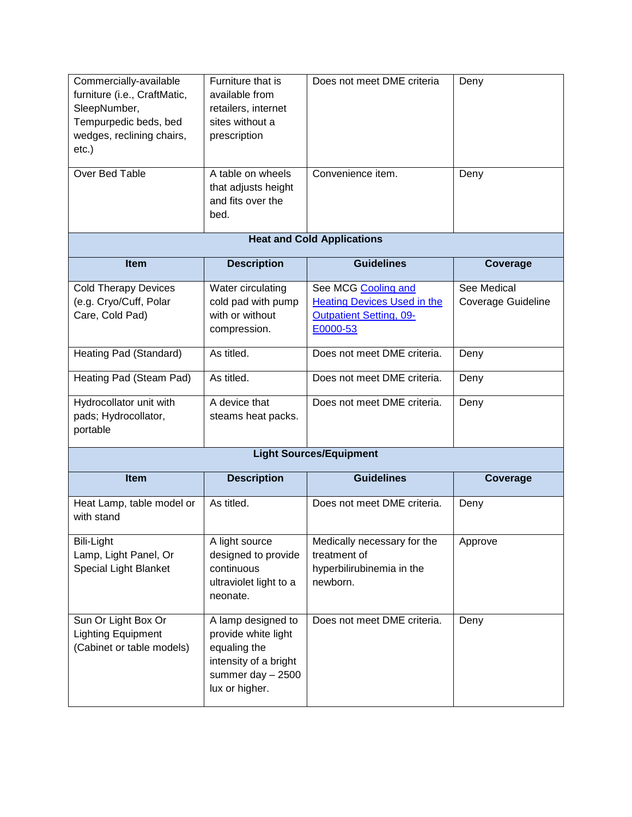<span id="page-19-0"></span>

| Commercially-available<br>furniture (i.e., CraftMatic,<br>SleepNumber,<br>Tempurpedic beds, bed<br>wedges, reclining chairs,<br>$etc.$ ) | Furniture that is<br>available from<br>retailers, internet<br>sites without a<br>prescription                              | Does not meet DME criteria                                                                              | Deny                                     |
|------------------------------------------------------------------------------------------------------------------------------------------|----------------------------------------------------------------------------------------------------------------------------|---------------------------------------------------------------------------------------------------------|------------------------------------------|
| Over Bed Table                                                                                                                           | A table on wheels<br>that adjusts height<br>and fits over the<br>bed.                                                      | Convenience item.                                                                                       | Deny                                     |
|                                                                                                                                          |                                                                                                                            | <b>Heat and Cold Applications</b>                                                                       |                                          |
| Item                                                                                                                                     | <b>Description</b>                                                                                                         | <b>Guidelines</b>                                                                                       | Coverage                                 |
| <b>Cold Therapy Devices</b><br>(e.g. Cryo/Cuff, Polar<br>Care, Cold Pad)                                                                 | Water circulating<br>cold pad with pump<br>with or without<br>compression.                                                 | See MCG Cooling and<br><b>Heating Devices Used in the</b><br><b>Outpatient Setting, 09-</b><br>E0000-53 | See Medical<br><b>Coverage Guideline</b> |
| Heating Pad (Standard)                                                                                                                   | As titled.                                                                                                                 | Does not meet DME criteria.                                                                             | Deny                                     |
| Heating Pad (Steam Pad)                                                                                                                  | As titled.                                                                                                                 | Does not meet DME criteria.                                                                             | Deny                                     |
| Hydrocollator unit with<br>pads; Hydrocollator,<br>portable                                                                              | A device that<br>steams heat packs.                                                                                        | Does not meet DME criteria.                                                                             | Deny                                     |
|                                                                                                                                          |                                                                                                                            | <b>Light Sources/Equipment</b>                                                                          |                                          |
| <b>Item</b>                                                                                                                              | <b>Description</b>                                                                                                         | <b>Guidelines</b>                                                                                       | Coverage                                 |
| Heat Lamp, table model or<br>with stand                                                                                                  | As titled.                                                                                                                 | Does not meet DME criteria.                                                                             | Deny                                     |
| <b>Bili-Light</b><br>Lamp, Light Panel, Or<br>Special Light Blanket                                                                      | A light source<br>designed to provide<br>continuous<br>ultraviolet light to a<br>neonate.                                  | Medically necessary for the<br>treatment of<br>hyperbilirubinemia in the<br>newborn.                    | Approve                                  |
| Sun Or Light Box Or<br><b>Lighting Equipment</b><br>(Cabinet or table models)                                                            | A lamp designed to<br>provide white light<br>equaling the<br>intensity of a bright<br>summer day $-2500$<br>lux or higher. | Does not meet DME criteria.                                                                             | Deny                                     |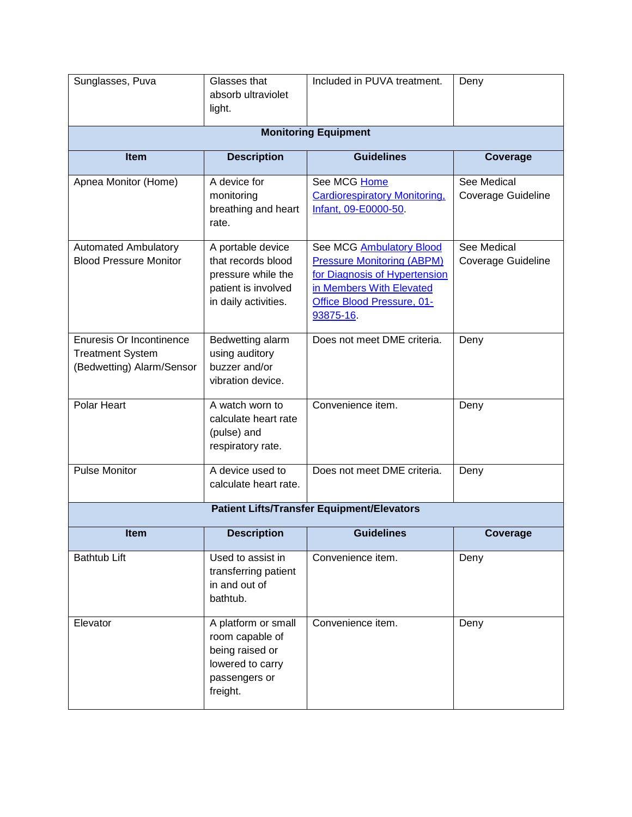| Sunglasses, Puva                                                                        | Glasses that<br>absorb ultraviolet<br>light.                                                                 | Included in PUVA treatment.                                                                                                                                           | Deny                              |
|-----------------------------------------------------------------------------------------|--------------------------------------------------------------------------------------------------------------|-----------------------------------------------------------------------------------------------------------------------------------------------------------------------|-----------------------------------|
|                                                                                         |                                                                                                              | <b>Monitoring Equipment</b>                                                                                                                                           |                                   |
| <b>Item</b>                                                                             | <b>Description</b>                                                                                           | <b>Guidelines</b>                                                                                                                                                     | Coverage                          |
| Apnea Monitor (Home)                                                                    | A device for<br>monitoring<br>breathing and heart<br>rate.                                                   | See MCG Home<br><b>Cardiorespiratory Monitoring,</b><br>Infant, 09-E0000-50.                                                                                          | See Medical<br>Coverage Guideline |
| <b>Automated Ambulatory</b><br><b>Blood Pressure Monitor</b>                            | A portable device<br>that records blood<br>pressure while the<br>patient is involved<br>in daily activities. | See MCG Ambulatory Blood<br><b>Pressure Monitoring (ABPM)</b><br>for Diagnosis of Hypertension<br>in Members With Elevated<br>Office Blood Pressure, 01-<br>93875-16. | See Medical<br>Coverage Guideline |
| <b>Enuresis Or Incontinence</b><br><b>Treatment System</b><br>(Bedwetting) Alarm/Sensor | Bedwetting alarm<br>using auditory<br>buzzer and/or<br>vibration device.                                     | Does not meet DME criteria.                                                                                                                                           | Deny                              |
| <b>Polar Heart</b>                                                                      | A watch worn to<br>calculate heart rate<br>(pulse) and<br>respiratory rate.                                  | Convenience item.                                                                                                                                                     | Deny                              |
| <b>Pulse Monitor</b>                                                                    | A device used to<br>calculate heart rate.                                                                    | Does not meet DME criteria.                                                                                                                                           | Deny                              |
|                                                                                         |                                                                                                              | <b>Patient Lifts/Transfer Equipment/Elevators</b>                                                                                                                     |                                   |
| Item                                                                                    | <b>Description</b>                                                                                           | <b>Guidelines</b>                                                                                                                                                     | <b>Coverage</b>                   |
| <b>Bathtub Lift</b>                                                                     | Used to assist in<br>transferring patient<br>in and out of<br>bathtub.                                       | Convenience item.                                                                                                                                                     | Deny                              |
| Elevator                                                                                | A platform or small<br>room capable of<br>being raised or<br>lowered to carry<br>passengers or<br>freight.   | Convenience item.                                                                                                                                                     | Deny                              |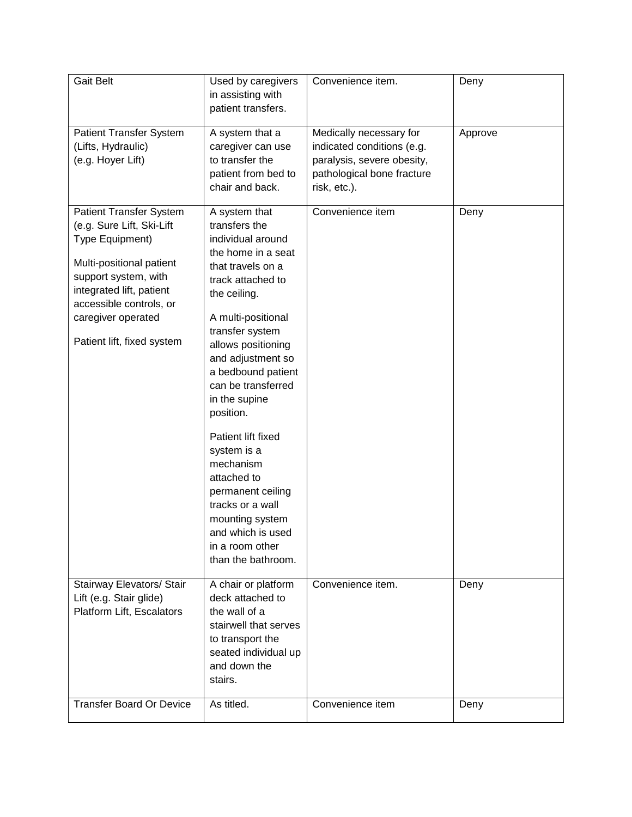| <b>Gait Belt</b>                | Used by caregivers                   | Convenience item.          | Deny    |
|---------------------------------|--------------------------------------|----------------------------|---------|
|                                 | in assisting with                    |                            |         |
|                                 | patient transfers.                   |                            |         |
|                                 |                                      |                            |         |
| <b>Patient Transfer System</b>  | A system that a                      | Medically necessary for    | Approve |
| (Lifts, Hydraulic)              | caregiver can use                    | indicated conditions (e.g. |         |
| (e.g. Hoyer Lift)               | to transfer the                      |                            |         |
|                                 |                                      | paralysis, severe obesity, |         |
|                                 | patient from bed to                  | pathological bone fracture |         |
|                                 | chair and back.                      | risk, etc.).               |         |
| <b>Patient Transfer System</b>  | A system that                        | Convenience item           | Deny    |
| (e.g. Sure Lift, Ski-Lift       | transfers the                        |                            |         |
| Type Equipment)                 | individual around                    |                            |         |
|                                 | the home in a seat                   |                            |         |
| Multi-positional patient        |                                      |                            |         |
| support system, with            | that travels on a                    |                            |         |
| integrated lift, patient        | track attached to                    |                            |         |
| accessible controls, or         | the ceiling.                         |                            |         |
| caregiver operated              | A multi-positional                   |                            |         |
|                                 | transfer system                      |                            |         |
| Patient lift, fixed system      |                                      |                            |         |
|                                 | allows positioning                   |                            |         |
|                                 | and adjustment so                    |                            |         |
|                                 | a bedbound patient                   |                            |         |
|                                 | can be transferred                   |                            |         |
|                                 | in the supine                        |                            |         |
|                                 | position.                            |                            |         |
|                                 | Patient lift fixed                   |                            |         |
|                                 | system is a                          |                            |         |
|                                 | mechanism                            |                            |         |
|                                 | attached to                          |                            |         |
|                                 | permanent ceiling                    |                            |         |
|                                 | tracks or a wall                     |                            |         |
|                                 |                                      |                            |         |
|                                 | mounting system<br>and which is used |                            |         |
|                                 |                                      |                            |         |
|                                 | in a room other                      |                            |         |
|                                 | than the bathroom.                   |                            |         |
| Stairway Elevators/ Stair       | A chair or platform                  | Convenience item.          | Deny    |
| Lift (e.g. Stair glide)         | deck attached to                     |                            |         |
| Platform Lift, Escalators       | the wall of a                        |                            |         |
|                                 | stairwell that serves                |                            |         |
|                                 | to transport the                     |                            |         |
|                                 | seated individual up                 |                            |         |
|                                 | and down the                         |                            |         |
|                                 |                                      |                            |         |
|                                 | stairs.                              |                            |         |
| <b>Transfer Board Or Device</b> | As titled.                           | Convenience item           | Deny    |
|                                 |                                      |                            |         |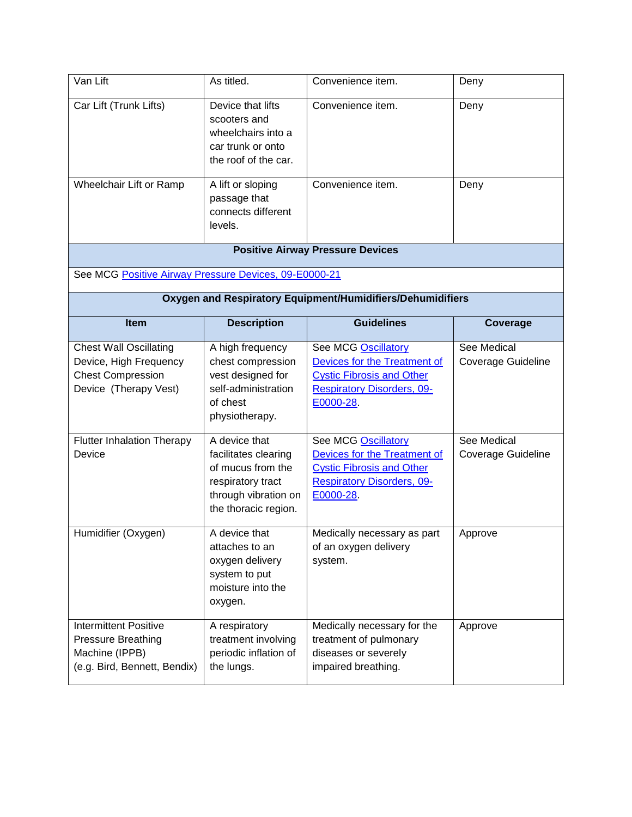| Van Lift                                                                                                     | As titled.                                                                                                                      | Convenience item.                                                                                                                                | Deny                                     |
|--------------------------------------------------------------------------------------------------------------|---------------------------------------------------------------------------------------------------------------------------------|--------------------------------------------------------------------------------------------------------------------------------------------------|------------------------------------------|
| Car Lift (Trunk Lifts)                                                                                       | Device that lifts<br>scooters and<br>wheelchairs into a<br>car trunk or onto<br>the roof of the car.                            | Convenience item.                                                                                                                                | Deny                                     |
| Wheelchair Lift or Ramp                                                                                      | A lift or sloping<br>passage that<br>connects different<br>levels.                                                              | Convenience item.                                                                                                                                | Deny                                     |
|                                                                                                              |                                                                                                                                 | <b>Positive Airway Pressure Devices</b>                                                                                                          |                                          |
| See MCG Positive Airway Pressure Devices, 09-E0000-21                                                        |                                                                                                                                 |                                                                                                                                                  |                                          |
|                                                                                                              |                                                                                                                                 | Oxygen and Respiratory Equipment/Humidifiers/Dehumidifiers                                                                                       |                                          |
| Item                                                                                                         | <b>Description</b>                                                                                                              | <b>Guidelines</b>                                                                                                                                | Coverage                                 |
| <b>Chest Wall Oscillating</b><br>Device, High Frequency<br><b>Chest Compression</b><br>Device (Therapy Vest) | A high frequency<br>chest compression<br>vest designed for<br>self-administration<br>of chest<br>physiotherapy.                 | <b>See MCG Oscillatory</b><br>Devices for the Treatment of<br><b>Cystic Fibrosis and Other</b><br><b>Respiratory Disorders, 09-</b><br>E0000-28. | See Medical<br><b>Coverage Guideline</b> |
| <b>Flutter Inhalation Therapy</b><br>Device                                                                  | A device that<br>facilitates clearing<br>of mucus from the<br>respiratory tract<br>through vibration on<br>the thoracic region. | <b>See MCG Oscillatory</b><br>Devices for the Treatment of<br><b>Cystic Fibrosis and Other</b><br><b>Respiratory Disorders, 09-</b><br>E0000-28  | See Medical<br>Coverage Guideline        |
| Humidifier (Oxygen)                                                                                          | A device that<br>attaches to an<br>oxygen delivery<br>system to put<br>moisture into the<br>oxygen.                             | Medically necessary as part<br>of an oxygen delivery<br>system.                                                                                  | Approve                                  |
| <b>Intermittent Positive</b><br><b>Pressure Breathing</b><br>Machine (IPPB)<br>(e.g. Bird, Bennett, Bendix)  | A respiratory<br>treatment involving<br>periodic inflation of<br>the lungs.                                                     | Medically necessary for the<br>treatment of pulmonary<br>diseases or severely<br>impaired breathing.                                             | Approve                                  |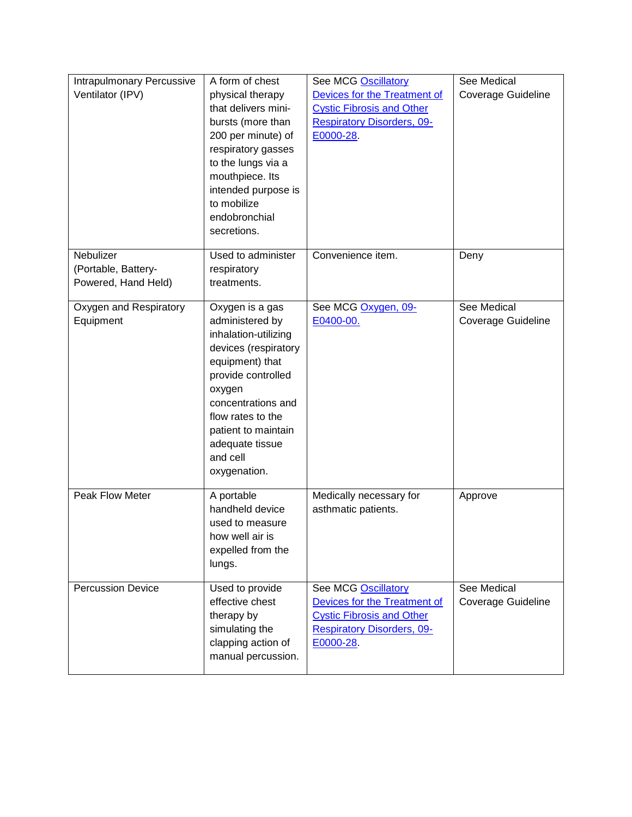| Intrapulmonary Percussive | A form of chest      | See MCG Oscillatory               | See Medical        |
|---------------------------|----------------------|-----------------------------------|--------------------|
| Ventilator (IPV)          | physical therapy     | Devices for the Treatment of      | Coverage Guideline |
|                           | that delivers mini-  | <b>Cystic Fibrosis and Other</b>  |                    |
|                           | bursts (more than    | <b>Respiratory Disorders, 09-</b> |                    |
|                           | 200 per minute) of   | E0000-28.                         |                    |
|                           | respiratory gasses   |                                   |                    |
|                           | to the lungs via a   |                                   |                    |
|                           | mouthpiece. Its      |                                   |                    |
|                           | intended purpose is  |                                   |                    |
|                           | to mobilize          |                                   |                    |
|                           | endobronchial        |                                   |                    |
|                           | secretions.          |                                   |                    |
| Nebulizer                 | Used to administer   | Convenience item.                 | Deny               |
| (Portable, Battery-       | respiratory          |                                   |                    |
| Powered, Hand Held)       | treatments.          |                                   |                    |
| Oxygen and Respiratory    | Oxygen is a gas      | See MCG Oxygen, 09-               | See Medical        |
| Equipment                 | administered by      | E0400-00.                         | Coverage Guideline |
|                           | inhalation-utilizing |                                   |                    |
|                           | devices (respiratory |                                   |                    |
|                           | equipment) that      |                                   |                    |
|                           | provide controlled   |                                   |                    |
|                           | oxygen               |                                   |                    |
|                           | concentrations and   |                                   |                    |
|                           | flow rates to the    |                                   |                    |
|                           | patient to maintain  |                                   |                    |
|                           | adequate tissue      |                                   |                    |
|                           | and cell             |                                   |                    |
|                           | oxygenation.         |                                   |                    |
| Peak Flow Meter           | A portable           | Medically necessary for           | Approve            |
|                           | handheld device      | asthmatic patients.               |                    |
|                           | used to measure      |                                   |                    |
|                           | how well air is      |                                   |                    |
|                           | expelled from the    |                                   |                    |
|                           | lungs.               |                                   |                    |
| <b>Percussion Device</b>  | Used to provide      | See MCG Oscillatory               | See Medical        |
|                           | effective chest      | Devices for the Treatment of      | Coverage Guideline |
|                           | therapy by           | <b>Cystic Fibrosis and Other</b>  |                    |
|                           | simulating the       | <b>Respiratory Disorders, 09-</b> |                    |
|                           | clapping action of   | E0000-28                          |                    |
|                           | manual percussion.   |                                   |                    |
|                           |                      |                                   |                    |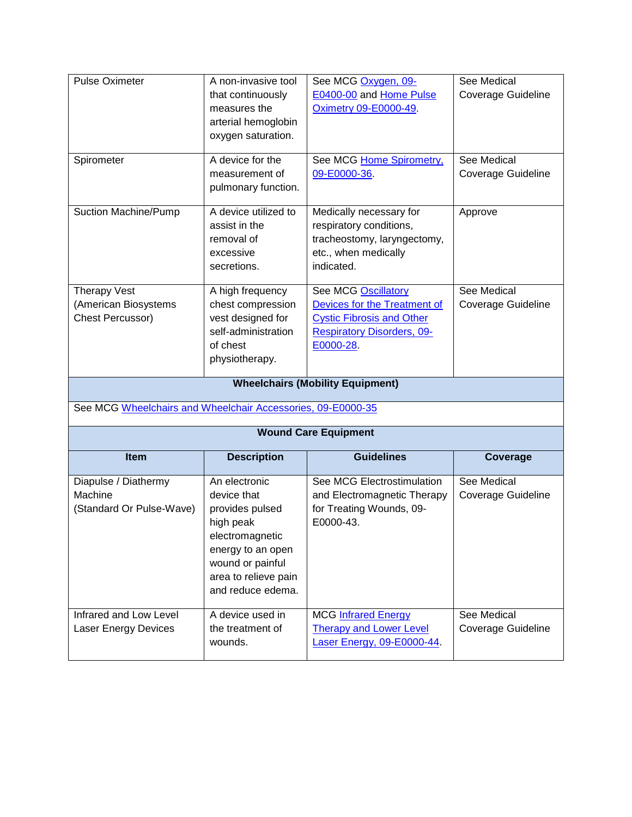| <b>Pulse Oximeter</b>                                           | A non-invasive tool<br>that continuously<br>measures the<br>arterial hemoglobin<br>oxygen saturation.                                                                 | See MCG Oxygen, 09-<br>E0400-00 and Home Pulse<br><b>Oximetry 09-E0000-49.</b>                                                            | See Medical<br><b>Coverage Guideline</b>                    |  |  |  |
|-----------------------------------------------------------------|-----------------------------------------------------------------------------------------------------------------------------------------------------------------------|-------------------------------------------------------------------------------------------------------------------------------------------|-------------------------------------------------------------|--|--|--|
| Spirometer                                                      | A device for the<br>measurement of<br>pulmonary function.                                                                                                             | See MCG Home Spirometry,<br>09-E0000-36.                                                                                                  | See Medical<br><b>Coverage Guideline</b>                    |  |  |  |
| Suction Machine/Pump                                            | A device utilized to<br>assist in the<br>removal of<br>excessive<br>secretions.                                                                                       | Medically necessary for<br>respiratory conditions,<br>tracheostomy, laryngectomy,<br>etc., when medically<br>indicated.                   | Approve                                                     |  |  |  |
| <b>Therapy Vest</b><br>(American Biosystems<br>Chest Percussor) | A high frequency<br>chest compression<br>vest designed for<br>self-administration<br>of chest<br>physiotherapy.                                                       | See MCG Oscillatory<br>Devices for the Treatment of<br><b>Cystic Fibrosis and Other</b><br><b>Respiratory Disorders, 09-</b><br>E0000-28. | See Medical<br><b>Coverage Guideline</b>                    |  |  |  |
| <b>Wheelchairs (Mobility Equipment)</b>                         |                                                                                                                                                                       |                                                                                                                                           |                                                             |  |  |  |
|                                                                 |                                                                                                                                                                       |                                                                                                                                           | See MCG Wheelchairs and Wheelchair Accessories, 09-E0000-35 |  |  |  |
| <b>Wound Care Equipment</b>                                     |                                                                                                                                                                       |                                                                                                                                           |                                                             |  |  |  |
|                                                                 |                                                                                                                                                                       |                                                                                                                                           |                                                             |  |  |  |
| Item                                                            | <b>Description</b>                                                                                                                                                    | <b>Guidelines</b>                                                                                                                         | Coverage                                                    |  |  |  |
| Diapulse / Diathermy<br>Machine<br>(Standard Or Pulse-Wave)     | An electronic<br>device that<br>provides pulsed<br>high peak<br>electromagnetic<br>energy to an open<br>wound or painful<br>area to relieve pain<br>and reduce edema. | See MCG Electrostimulation<br>and Electromagnetic Therapy<br>for Treating Wounds, 09-<br>E0000-43.                                        | See Medical<br>Coverage Guideline                           |  |  |  |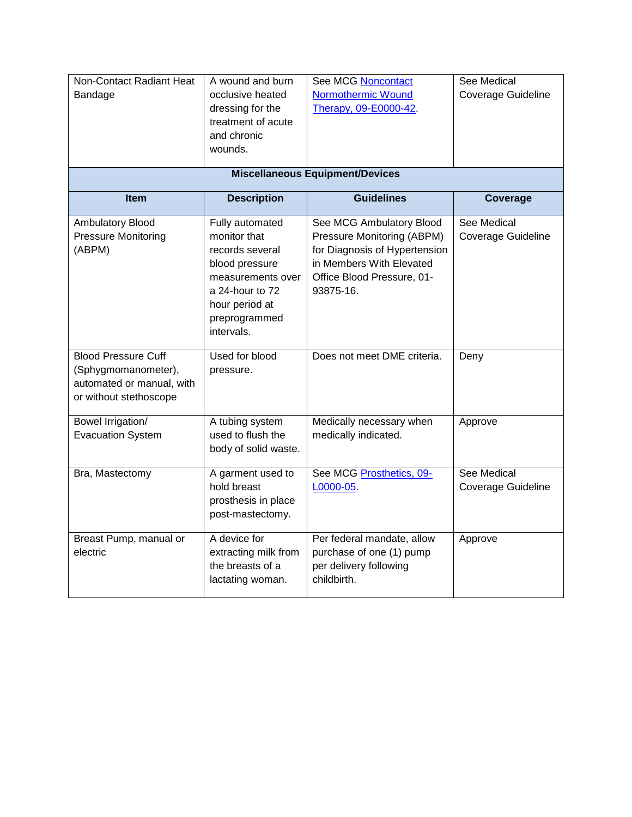| Non-Contact Radiant Heat<br>Bandage                                                                      | A wound and burn<br>occlusive heated<br>dressing for the<br>treatment of acute<br>and chronic<br>wounds.                                                      | <b>See MCG Noncontact</b><br>Normothermic Wound<br>Therapy, 09-E0000-42.                                                                                       | <b>See Medical</b><br>Coverage Guideline |
|----------------------------------------------------------------------------------------------------------|---------------------------------------------------------------------------------------------------------------------------------------------------------------|----------------------------------------------------------------------------------------------------------------------------------------------------------------|------------------------------------------|
|                                                                                                          |                                                                                                                                                               |                                                                                                                                                                |                                          |
| <b>Miscellaneous Equipment/Devices</b>                                                                   |                                                                                                                                                               |                                                                                                                                                                |                                          |
| Item                                                                                                     | <b>Description</b>                                                                                                                                            | <b>Guidelines</b>                                                                                                                                              | Coverage                                 |
| <b>Ambulatory Blood</b><br><b>Pressure Monitoring</b><br>(ABPM)                                          | Fully automated<br>monitor that<br>records several<br>blood pressure<br>measurements over<br>a 24-hour to 72<br>hour period at<br>preprogrammed<br>intervals. | See MCG Ambulatory Blood<br>Pressure Monitoring (ABPM)<br>for Diagnosis of Hypertension<br>in Members With Elevated<br>Office Blood Pressure, 01-<br>93875-16. | See Medical<br>Coverage Guideline        |
| <b>Blood Pressure Cuff</b><br>(Sphygmomanometer),<br>automated or manual, with<br>or without stethoscope | Used for blood<br>pressure.                                                                                                                                   | Does not meet DME criteria.                                                                                                                                    | Deny                                     |
| Bowel Irrigation/<br><b>Evacuation System</b>                                                            | A tubing system<br>used to flush the<br>body of solid waste.                                                                                                  | Medically necessary when<br>medically indicated.                                                                                                               | Approve                                  |
| Bra, Mastectomy                                                                                          | A garment used to<br>hold breast<br>prosthesis in place<br>post-mastectomy.                                                                                   | See MCG Prosthetics, 09-<br>L0000-05.                                                                                                                          | See Medical<br>Coverage Guideline        |
| Breast Pump, manual or<br>electric                                                                       | A device for<br>extracting milk from<br>the breasts of a<br>lactating woman.                                                                                  | Per federal mandate, allow<br>purchase of one (1) pump<br>per delivery following<br>childbirth.                                                                | Approve                                  |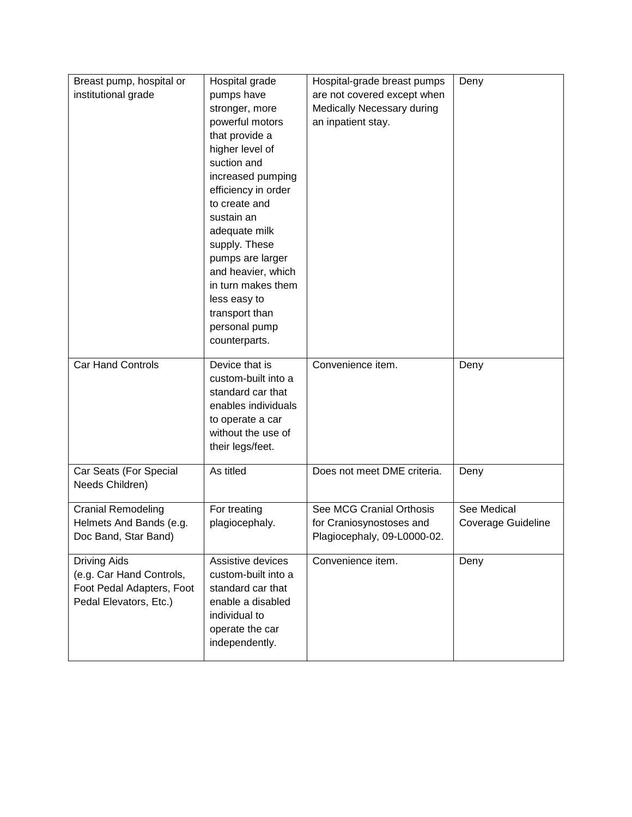| Breast pump, hospital or  | Hospital grade      | Hospital-grade breast pumps | Deny                      |
|---------------------------|---------------------|-----------------------------|---------------------------|
| institutional grade       | pumps have          | are not covered except when |                           |
|                           | stronger, more      | Medically Necessary during  |                           |
|                           | powerful motors     | an inpatient stay.          |                           |
|                           | that provide a      |                             |                           |
|                           | higher level of     |                             |                           |
|                           | suction and         |                             |                           |
|                           | increased pumping   |                             |                           |
|                           | efficiency in order |                             |                           |
|                           | to create and       |                             |                           |
|                           | sustain an          |                             |                           |
|                           | adequate milk       |                             |                           |
|                           | supply. These       |                             |                           |
|                           | pumps are larger    |                             |                           |
|                           | and heavier, which  |                             |                           |
|                           | in turn makes them  |                             |                           |
|                           | less easy to        |                             |                           |
|                           | transport than      |                             |                           |
|                           | personal pump       |                             |                           |
|                           | counterparts.       |                             |                           |
| <b>Car Hand Controls</b>  | Device that is      | Convenience item.           | Deny                      |
|                           | custom-built into a |                             |                           |
|                           | standard car that   |                             |                           |
|                           | enables individuals |                             |                           |
|                           | to operate a car    |                             |                           |
|                           | without the use of  |                             |                           |
|                           | their legs/feet.    |                             |                           |
|                           |                     |                             |                           |
| Car Seats (For Special    | As titled           | Does not meet DME criteria. | Deny                      |
| Needs Children)           |                     |                             |                           |
| <b>Cranial Remodeling</b> | For treating        | See MCG Cranial Orthosis    | See Medical               |
| Helmets And Bands (e.g.   | plagiocephaly.      | for Craniosynostoses and    | <b>Coverage Guideline</b> |
| Doc Band, Star Band)      |                     | Plagiocephaly, 09-L0000-02. |                           |
|                           |                     |                             |                           |
| <b>Driving Aids</b>       | Assistive devices   | Convenience item.           | Deny                      |
| (e.g. Car Hand Controls,  | custom-built into a |                             |                           |
| Foot Pedal Adapters, Foot | standard car that   |                             |                           |
| Pedal Elevators, Etc.)    | enable a disabled   |                             |                           |
|                           | individual to       |                             |                           |
|                           | operate the car     |                             |                           |
|                           | independently.      |                             |                           |
|                           |                     |                             |                           |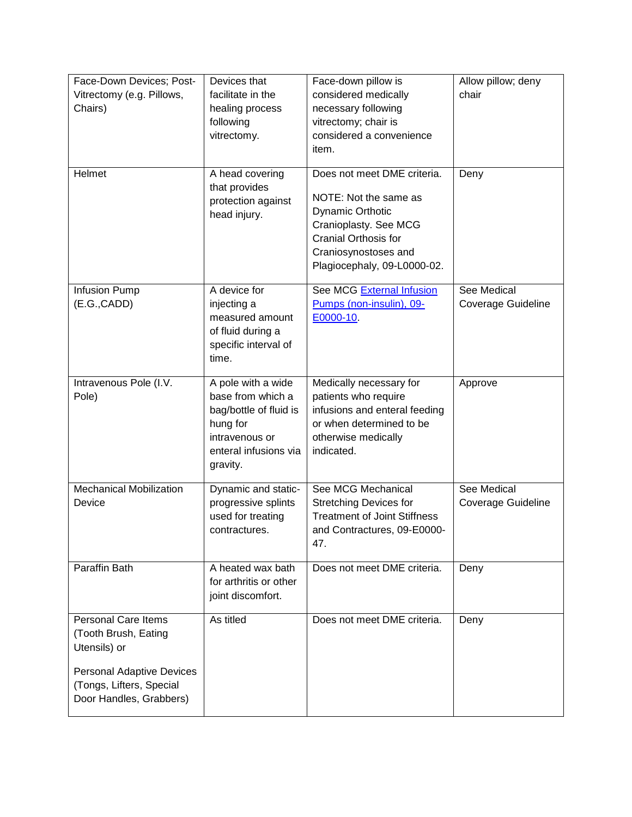| Face-Down Devices; Post-         | Devices that           | Face-down pillow is                 | Allow pillow; deny |
|----------------------------------|------------------------|-------------------------------------|--------------------|
| Vitrectomy (e.g. Pillows,        | facilitate in the      | considered medically                | chair              |
| Chairs)                          | healing process        | necessary following                 |                    |
|                                  | following              | vitrectomy; chair is                |                    |
|                                  | vitrectomy.            | considered a convenience            |                    |
|                                  |                        | item.                               |                    |
|                                  |                        |                                     |                    |
| Helmet                           | A head covering        | Does not meet DME criteria.         | Deny               |
|                                  | that provides          |                                     |                    |
|                                  | protection against     | NOTE: Not the same as               |                    |
|                                  | head injury.           | <b>Dynamic Orthotic</b>             |                    |
|                                  |                        | Cranioplasty. See MCG               |                    |
|                                  |                        | <b>Cranial Orthosis for</b>         |                    |
|                                  |                        | Craniosynostoses and                |                    |
|                                  |                        | Plagiocephaly, 09-L0000-02.         |                    |
| Infusion Pump                    | A device for           | See MCG External Infusion           | See Medical        |
| (E.G., CADD)                     | injecting a            | Pumps (non-insulin), 09-            | Coverage Guideline |
|                                  | measured amount        | E0000-10                            |                    |
|                                  | of fluid during a      |                                     |                    |
|                                  | specific interval of   |                                     |                    |
|                                  | time.                  |                                     |                    |
|                                  |                        |                                     |                    |
| Intravenous Pole (I.V.           | A pole with a wide     | Medically necessary for             | Approve            |
| Pole)                            | base from which a      | patients who require                |                    |
|                                  | bag/bottle of fluid is | infusions and enteral feeding       |                    |
|                                  | hung for               | or when determined to be            |                    |
|                                  | intravenous or         | otherwise medically                 |                    |
|                                  | enteral infusions via  | indicated.                          |                    |
|                                  | gravity.               |                                     |                    |
|                                  |                        |                                     |                    |
| <b>Mechanical Mobilization</b>   | Dynamic and static-    | See MCG Mechanical                  | See Medical        |
| Device                           | progressive splints    | <b>Stretching Devices for</b>       | Coverage Guideline |
|                                  | used for treating      | <b>Treatment of Joint Stiffness</b> |                    |
|                                  | contractures.          | and Contractures, 09-E0000-         |                    |
|                                  |                        | 47.                                 |                    |
| <b>Paraffin Bath</b>             | A heated wax bath      | Does not meet DME criteria.         | Deny               |
|                                  | for arthritis or other |                                     |                    |
|                                  | joint discomfort.      |                                     |                    |
|                                  |                        |                                     |                    |
| <b>Personal Care Items</b>       | As titled              | Does not meet DME criteria.         | Deny               |
| (Tooth Brush, Eating             |                        |                                     |                    |
| Utensils) or                     |                        |                                     |                    |
|                                  |                        |                                     |                    |
| <b>Personal Adaptive Devices</b> |                        |                                     |                    |
| (Tongs, Lifters, Special         |                        |                                     |                    |
| Door Handles, Grabbers)          |                        |                                     |                    |
|                                  |                        |                                     |                    |